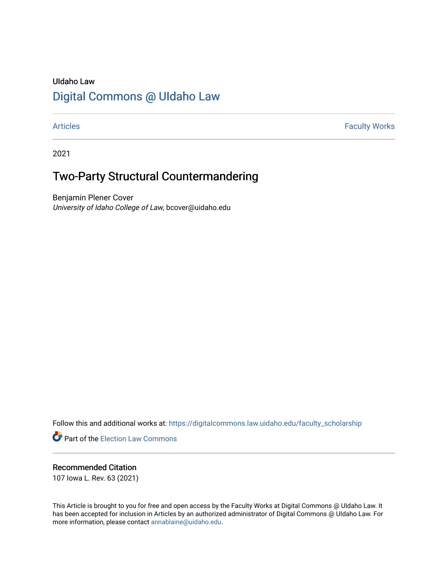## UIdaho Law [Digital Commons @ UIdaho Law](https://digitalcommons.law.uidaho.edu/)

[Articles](https://digitalcommons.law.uidaho.edu/faculty_scholarship) **Faculty Works** 

2021

# Two-Party Structural Countermandering

Benjamin Plener Cover University of Idaho College of Law, bcover@uidaho.edu

Follow this and additional works at: [https://digitalcommons.law.uidaho.edu/faculty\\_scholarship](https://digitalcommons.law.uidaho.edu/faculty_scholarship?utm_source=digitalcommons.law.uidaho.edu%2Ffaculty_scholarship%2F542&utm_medium=PDF&utm_campaign=PDFCoverPages) 

**P** Part of the [Election Law Commons](http://network.bepress.com/hgg/discipline/1121?utm_source=digitalcommons.law.uidaho.edu%2Ffaculty_scholarship%2F542&utm_medium=PDF&utm_campaign=PDFCoverPages)

### Recommended Citation

107 Iowa L. Rev. 63 (2021)

This Article is brought to you for free and open access by the Faculty Works at Digital Commons @ UIdaho Law. It has been accepted for inclusion in Articles by an authorized administrator of Digital Commons @ UIdaho Law. For more information, please contact [annablaine@uidaho.edu.](mailto:annablaine@uidaho.edu)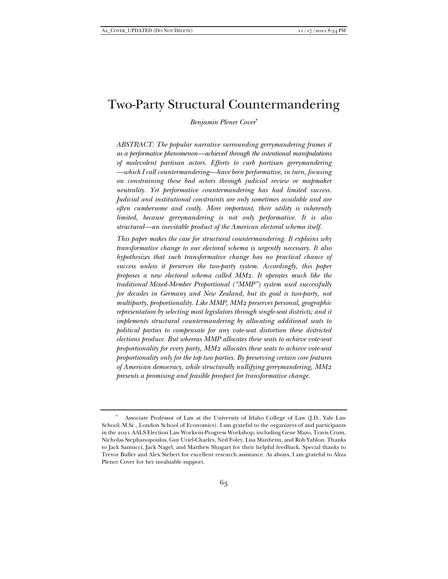### Two-Party Structural Countermandering

*Benjamin Plener Cover*\*

*ABSTRACT: The popular narrative surrounding gerrymandering frames it as a performative phenomenon—achieved through the intentional manipulations of malevolent partisan actors. Efforts to curb partisan gerrymandering —which I call countermandering—have been performative, in turn, focusing on constraining these bad actors through judicial review or mapmaker neutrality. Yet performative countermandering has had limited success. Judicial and institutional constraints are only sometimes available and are often cumbersome and costly. More important, their utility is inherently limited, because gerrymandering is not only performative. It is also structural—an inevitable product of the American electoral schema itself.* 

*This paper makes the case for structural countermandering. It explains why transformative change to our electoral schema is urgently necessary. It also hypothesizes that such transformative change has no practical chance of success unless it preserves the two-party system. Accordingly, this paper proposes a new electoral schema called MM2. It operates much like the traditional Mixed-Member Proportional ("MMP") system used successfully for decades in Germany and New Zealand, but its goal is two-party, not multiparty, proportionality. Like MMP, MM2 preserves personal, geographic representation by selecting most legislators through single-seat districts; and it implements structural countermandering by allocating additional seats to political parties to compensate for any vote-seat distortion these districted elections produce. But whereas MMP allocates these seats to achieve vote-seat proportionality for every party, MM2 allocates these seats to achieve vote-seat proportionality only for the top two parties. By preserving certain core features of American democracy, while structurally nullifying gerrymandering, MM2 presents a promising and feasible prospect for transformative change.* 

 <sup>\*</sup> Associate Professor of Law at the University of Idaho College of Law (J.D., Yale Law School; M.Sc., London School of Economics). I am grateful to the organizers of and participants in the 2021 AALS Election Law Works-in-Progress Workshop, including Gene Mazo, Travis Crum, Nicholas Stephanopoulos, Guy Uriel-Charles, Ned Foley, Lisa Manheim, and Rob Yablon. Thanks to Jack Santucci, Jack Nagel, and Matthew Shugart for their helpful feedback. Special thanks to Trevor Buller and Alex Siebert for excellent research assistance. As always, I am grateful to Aliza Plener Cover for her invaluable support.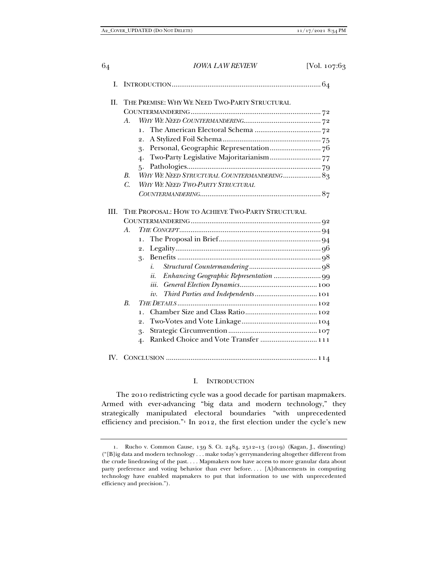| П.   | THE PREMISE: WHY WE NEED TWO-PARTY STRUCTURAL |                                                      |  |  |
|------|-----------------------------------------------|------------------------------------------------------|--|--|
|      |                                               |                                                      |  |  |
|      | А.                                            |                                                      |  |  |
|      |                                               | $\mathbf{1}$ .                                       |  |  |
|      |                                               | 2.                                                   |  |  |
|      |                                               | 3.                                                   |  |  |
|      |                                               | $\ddot{4}$                                           |  |  |
|      |                                               | ٢.                                                   |  |  |
|      | $\mathbf{B}$                                  | WHY WE NEED STRUCTURAL COUNTERMANDERING 83           |  |  |
|      | C.                                            | WHY WE NEED TWO-PARTY STRUCTURAL                     |  |  |
|      |                                               |                                                      |  |  |
| III. |                                               | THE PROPOSAL: HOW TO ACHIEVE TWO-PARTY STRUCTURAL    |  |  |
|      |                                               |                                                      |  |  |
|      | A.                                            |                                                      |  |  |
|      |                                               | ı.                                                   |  |  |
|      |                                               | 2.                                                   |  |  |
|      |                                               | 3.                                                   |  |  |
|      |                                               | i.                                                   |  |  |
|      |                                               | ii.                                                  |  |  |
|      |                                               | iii.                                                 |  |  |
|      |                                               | iv.                                                  |  |  |
|      | $B_{\cdot}$                                   |                                                      |  |  |
|      |                                               | 1.                                                   |  |  |
|      |                                               | 2.                                                   |  |  |
|      |                                               | 3.                                                   |  |  |
|      |                                               | Ranked Choice and Vote Transfer  111<br>$\mathbf{4}$ |  |  |

#### I. INTRODUCTION

The 2010 redistricting cycle was a good decade for partisan mapmakers. Armed with ever-advancing "big data and modern technology," they strategically manipulated electoral boundaries "with unprecedented efficiency and precision."<sup>1</sup> In 2012, the first election under the cycle's new

 <sup>1.</sup> Rucho v. Common Cause, 139 S. Ct. 2484, 2512–13 (2019) (Kagan, J., dissenting) ("[B]ig data and modern technology . . . make today's gerrymandering altogether different from the crude linedrawing of the past. . . . Mapmakers now have access to more granular data about party preference and voting behavior than ever before. . . . [A]dvancements in computing technology have enabled mapmakers to put that information to use with unprecedented efficiency and precision.").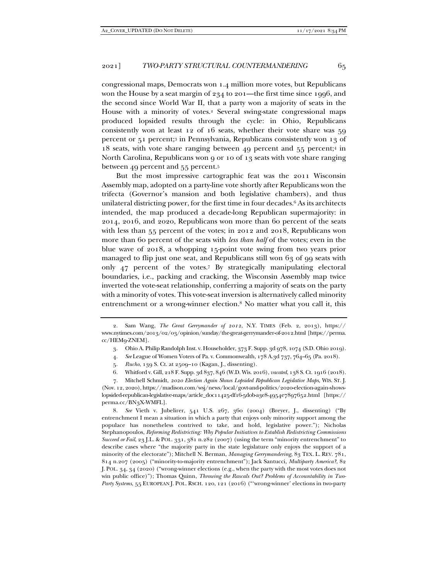congressional maps, Democrats won 1.4 million more votes, but Republicans won the House by a seat margin of 234 to 201—the first time since 1996, and the second since World War II, that a party won a majority of seats in the House with a minority of votes.<sup>2</sup> Several swing-state congressional maps produced lopsided results through the cycle: in Ohio, Republicans consistently won at least 12 of 16 seats, whether their vote share was 59 percent or 51 percent;3 in Pennsylvania, Republicans consistently won 13 of 18 seats, with vote share ranging between 49 percent and 55 percent;4 in North Carolina, Republicans won 9 or 10 of 13 seats with vote share ranging between 49 percent and 55 percent.5

But the most impressive cartographic feat was the 2011 Wisconsin Assembly map, adopted on a party-line vote shortly after Republicans won the trifecta (Governor's mansion and both legislative chambers), and thus unilateral districting power, for the first time in four decades.<sup>6</sup> As its architects intended, the map produced a decade-long Republican supermajority: in 2014, 2016, and 2020, Republicans won more than 60 percent of the seats with less than 55 percent of the votes; in 2012 and 2018, Republicans won more than 60 percent of the seats with *less than half* of the votes; even in the blue wave of 2018, a whopping 15-point vote swing from two years prior managed to flip just one seat, and Republicans still won 63 of 99 seats with only 47 percent of the votes.7 By strategically manipulating electoral boundaries, i.e., packing and cracking, the Wisconsin Assembly map twice inverted the vote-seat relationship, conferring a majority of seats on the party with a minority of votes. This vote-seat inversion is alternatively called minority entrenchment or a wrong-winner election.8 No matter what you call it, this

- 3. Ohio A. Philip Randolph Inst. v. Householder, 373 F. Supp. 3d 978, 1074 (S.D. Ohio 2019).
- 4. *See* League of Women Voters of Pa. v. Commonwealth, 178 A.3d 737, 764–65 (Pa. 2018).
- 5. *Rucho*, 139 S. Ct. at 2509–10 (Kagan, J., dissenting).
- 6. Whitford v. Gill, 218 F. Supp. 3d 837, 846 (W.D. Wis. 2016), *vacated*, 138 S. Ct. 1916 (2018).

 7. Mitchell Schmidt, *2020 Election Again Shows Lopsided Republican Legislative Maps*, WIS. ST. J. (Nov. 12, 2020), https://madison.com/wsj/news/local/govt-and-politics/2020-election-again-showslopsided-republican-legislative-maps/article\_d0c11425-df16-5d0b-a3e8-4954e7897652.html [https:// perma.cc/BN3X-WMFL].

 8. *See* Vieth v. Jubelirer, 541 U.S. 267, 360 (2004) (Breyer, J., dissenting) ("By entrenchment I mean a situation in which a party that enjoys only minority support among the populace has nonetheless contrived to take, and hold, legislative power."); Nicholas Stephanopoulos, *Reforming Redistricting: Why Popular Initiatives to Establish Redistricting Commissions Succeed or Fail*, 23 J.L. & POL. 331, 381 n.282 (2007) (using the term "minority entrenchment" to describe cases where "the majority party in the state legislature only enjoys the support of a minority of the electorate"); Mitchell N. Berman, *Managing Gerrymandering*, 83 TEX. L. REV. 781, 814 n.207 (2005) ("minority-to-majority entrenchment"); Jack Santucci, *Multiparty America?*, 82 J. POL. 34, 34 (2020) ("wrong-winner elections (e.g., when the party with the most votes does not win public office)"); Thomas Quinn, *Throwing the Rascals Out? Problems of Accountability in Two*-*Party Systems*, 55 EUROPEAN J. POL. RSCH. 120, 121 (2016) ("'wrong-winner' elections in two-party

 <sup>2.</sup> Sam Wang, *The Great Gerrymander of 2012*, N.Y. TIMES (Feb. 2, 2013), https:// www.nytimes.com/2013/02/03/opinion/sunday/the-great-gerrymander-of-2012.html [https://perma. cc/HEM9-ZNEM].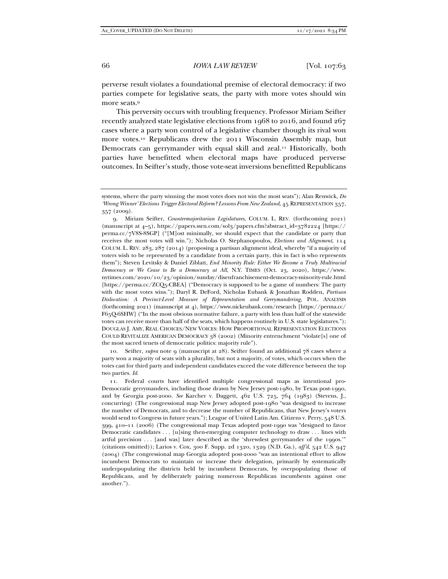perverse result violates a foundational premise of electoral democracy: if two parties compete for legislative seats, the party with more votes should win more seats.9

This perversity occurs with troubling frequency. Professor Miriam Seifter recently analyzed state legislative elections from 1968 to 2016, and found 267 cases where a party won control of a legislative chamber though its rival won more votes.10 Republicans drew the 2011 Wisconsin Assembly map, but Democrats can gerrymander with equal skill and zeal.<sup>11</sup> Historically, both parties have benefitted when electoral maps have produced perverse outcomes. In Seifter's study, those vote-seat inversions benefitted Republicans

 9. Miriam Seifter, *Countermajoritarian Legislatures*, COLUM. L. REV. (forthcoming 2021) (manuscript at 4–5), https://papers.ssrn.com/sol3/papers.cfm?abstract\_id=3782224 [https:// perma.cc/7V8S-8SGP] ("[M]ost minimally, we should expect that the candidate or party that receives the most votes will win."); Nicholas O. Stephanopoulos, *Elections and Alignment*, 114 COLUM. L. REV. 283, 287 (2014) (proposing a partisan alignment ideal, whereby "if a majority of voters wish to be represented by a candidate from a certain party, this in fact is who represents them"); Steven Levitsky & Daniel Ziblatt, *End Minority Rule: Either We Become a Truly Multiracial Democracy or We Cease to Be a Democracy at All*, N.Y. TIMES (Oct. 23, 2020), https://www. nytimes.com/2020/10/23/opinion/sunday/disenfranchisement-democracy-minority-rule.html [https://perma.cc/ZCQ5-CBEA] ("Democracy is supposed to be a game of numbers: The party with the most votes wins."); Daryl R. DeFord, Nicholas Eubank & Jonathan Rodden, *Partisan Dislocation: A Precinct-Level Measure of Representation and Gerrymandering*, POL. ANALYSIS (forthcoming 2021) (manuscript at 4), https://www.nickeubank.com/research [https://perma.cc/ F65Q-6SHW] ("In the most obvious normative failure, a party with less than half of the statewide votes can receive more than half of the seats, which happens routinely in U.S. state legislatures."); DOUGLAS J. AMY, REAL CHOICES/NEW VOICES: HOW PROPORTIONAL REPRESENTATION ELECTIONS COULD REVITALIZE AMERICAN DEMOCRACY 38 (2002) (Minority entrenchment "violate[s] one of the most sacred tenets of democratic politics: majority rule").

 10. Seifter, *supra* note 9 (manuscript at 28). Seifter found an additional 78 cases where a party won a majority of seats with a plurality, but not a majority, of votes, which occurs when the votes cast for third party and independent candidates exceed the vote difference between the top two parties. *Id.*

 11. Federal courts have identified multiple congressional maps as intentional pro-Democratic gerrymanders, including those drawn by New Jersey post-1980, by Texas post-1990, and by Georgia post-2000. *See* Karcher v. Daggett, 462 U.S. 725, 764 (1983) (Stevens, J., concurring) (The congressional map New Jersey adopted post-1980 "was designed to increase the number of Democrats, and to decrease the number of Republicans, that New Jersey's voters would send to Congress in future years."); League of United Latin Am. Citizens v. Perry, 548 U.S. 399, 410–11 (2006) (The congressional map Texas adopted post-1990 was "designed to favor Democratic candidates . . . [u]sing then-emerging computer technology to draw . . . lines with artful precision . . . [and was] later described as the 'shrewdest gerrymander of the 1990s.'" (citations omitted)); Larios v. Cox, 300 F. Supp. 2d 1320, 1329 (N.D. Ga.), *aff'd*, 542 U.S. 947 (2004) (The congressional map Georgia adopted post-2000 "was an intentional effort to allow incumbent Democrats to maintain or increase their delegation, primarily by systematically underpopulating the districts held by incumbent Democrats, by overpopulating those of Republicans, and by deliberately pairing numerous Republican incumbents against one another.").

systems, where the party winning the most votes does not win the most seats"); Alan Renwick, *Do 'Wrong Winner' Elections Trigger Electoral Reform? Lessons From New Zealand*, 45 REPRESENTATION 357, 357 (2009).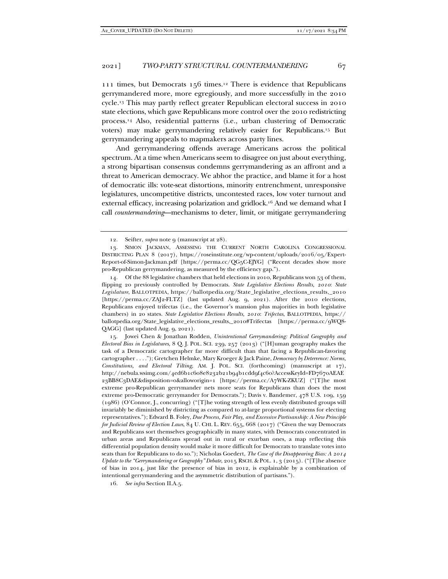111 times, but Democrats 156 times.12 There is evidence that Republicans gerrymandered more, more egregiously, and more successfully in the 2010 cycle.13 This may partly reflect greater Republican electoral success in 2010 state elections, which gave Republicans more control over the 2010 redistricting process.14 Also, residential patterns (i.e., urban clustering of Democratic voters) may make gerrymandering relatively easier for Republicans.15 But gerrymandering appeals to mapmakers across party lines.

And gerrymandering offends average Americans across the political spectrum. At a time when Americans seem to disagree on just about everything, a strong bipartisan consensus condemns gerrymandering as an affront and a threat to American democracy. We abhor the practice, and blame it for a host of democratic ills: vote-seat distortions, minority entrenchment, unresponsive legislatures, uncompetitive districts, uncontested races, low voter turnout and external efficacy, increasing polarization and gridlock.16 And we demand what I call *countermandering*—mechanisms to deter, limit, or mitigate gerrymandering

 14. Of the 88 legislative chambers that held elections in 2010, Republicans won 53 of them, flipping 20 previously controlled by Democrats. *State Legislative Elections Results, 2010*: *State Legislature*, BALLOTPEDIA, https://ballotpedia.org/State\_legislative\_elections\_results,\_2010 [https://perma.cc/ZAJ2-FLTZ] (last updated Aug. 9, 2021). After the 2010 elections, Republicans enjoyed trifectas (i.e., the Governor's mansion plus majorities in both legislative chambers) in 20 states. *State Legislative Elections Results, 2010*: *Trifectas*, BALLOTPEDIA, https:// ballotpedia.org/State\_legislative\_elections\_results,\_2010#Trifectas [https://perma.cc/9WQ8- QAGG] (last updated Aug. 9, 2021).

 15. Jowei Chen & Jonathan Rodden, *Unintentional Gerrymandering: Political Geography and Electoral Bias in Legislatures*, 8 Q. J. POL. SCI. 239, 257 (2013) ("[H]uman geography makes the task of a Democratic cartographer far more difficult than that facing a Republican-favoring cartographer . . . ."); Gretchen Helmke, Mary Kroeger & Jack Paine, *Democracy by Deterrence: Norms, Constitutions, and Electoral Tilting*, AM. J. POL. SCI. (forthcoming) (manuscript at 17), http://nebula.wsimg.com/4ed6b1c608e8232b21b94b1cdd9f4c60?AccessKeyId=FD7670AEAE 23BB8C3DAE&disposition=0&alloworigin=1 [https://perma.cc/A7WK-ZKUZ] ("[T]he most extreme pro-Republican gerrymander nets more seats for Republicans than does the most extreme pro-Democratic gerrymander for Democrats."); Davis v. Bandemer, 478 U.S. 109, 159 (1986) (O'Connor, J., concurring) ("[T]he voting strength of less evenly distributed groups will invariably be diminished by districting as compared to at-large proportional systems for electing representatives."); Edward B. Foley, *Due Process, Fair Play, and Excessive Partisanship: A New Principle for Judicial Review of Election Laws*, 84 U. CHI. L. REV. 655, 668 (2017) ("Given the way Democrats and Republicans sort themselves geographically in many states, with Democrats concentrated in urban areas and Republicans spread out in rural or exurban ones, a map reflecting this differential population density would make it more difficult for Democrats to translate votes into seats than for Republicans to do so."); Nicholas Goedert, *The Case of the Disappearing Bias: A 2014 Update to the "Gerrymandering or Geography" Debate*, 2015 RSCH. & POL. 1, 3 (2015). ("[T]he absence of bias in 2014, just like the presence of bias in 2012, is explainable by a combination of intentional gerrymandering and the asymmetric distribution of partisans.").

16. *See infra* Section II.A.5.

<sup>12.</sup> Seifter, *supra* note 9 (manuscript at 28).

 <sup>13.</sup> SIMON JACKMAN, ASSESSING THE CURRENT NORTH CAROLINA CONGRESSIONAL DISTRICTING PLAN 8 (2017), https://roseinstitute.org/wp-content/uploads/2016/05/Expert-Report-of-Simon-Jackman.pdf [https://perma.cc/QG5C-EJYG] ("Recent decades show more pro-Republican gerrymandering, as measured by the efficiency gap.").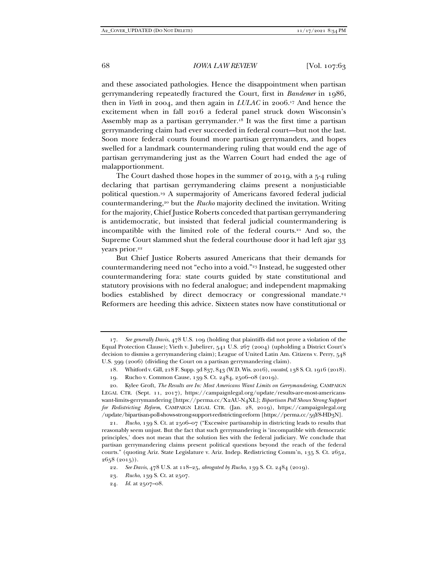and these associated pathologies. Hence the disappointment when partisan gerrymandering repeatedly fractured the Court, first in *Bandemer* in 1986, then in *Vieth* in 2004, and then again in *LULAC* in 2006.17 And hence the excitement when in fall 2016 a federal panel struck down Wisconsin's Assembly map as a partisan gerrymander.<sup>18</sup> It was the first time a partisan gerrymandering claim had ever succeeded in federal court—but not the last. Soon more federal courts found more partisan gerrymanders, and hopes swelled for a landmark countermandering ruling that would end the age of partisan gerrymandering just as the Warren Court had ended the age of malapportionment.

The Court dashed those hopes in the summer of 2019, with a 5-4 ruling declaring that partisan gerrymandering claims present a nonjusticiable political question.19 A supermajority of Americans favored federal judicial countermandering,20 but the *Rucho* majority declined the invitation. Writing for the majority, Chief Justice Roberts conceded that partisan gerrymandering is antidemocratic, but insisted that federal judicial countermandering is incompatible with the limited role of the federal courts.<sup>21</sup> And so, the Supreme Court slammed shut the federal courthouse door it had left ajar 33 years prior.<sup>22</sup>

But Chief Justice Roberts assured Americans that their demands for countermandering need not "echo into a void."23 Instead, he suggested other countermandering fora: state courts guided by state constitutional and statutory provisions with no federal analogue; and independent mapmaking bodies established by direct democracy or congressional mandate.<sup>24</sup> Reformers are heeding this advice. Sixteen states now have constitutional or

 <sup>17.</sup> *See generally Davis*, 478 U.S. 109 (holding that plaintiffs did not prove a violation of the Equal Protection Clause); Vieth v. Jubelirer, 541 U.S. 267 (2004) (upholding a District Court's decision to dismiss a gerrymandering claim); League of United Latin Am. Citizens v. Perry, 548 U.S. 399 (2006) (dividing the Court on a partisan gerrymandering claim).

 <sup>18.</sup> Whitford v. Gill, 218 F. Supp. 3d 837, 843 (W.D. Wis. 2016), *vacated*, 138 S. Ct. 1916 (2018).

 <sup>19.</sup> Rucho v. Common Cause, 139 S. Ct. 2484, 2506–08 (2019).

 <sup>20.</sup> Kylee Groft, *The Results are In: Most Americans Want Limits on Gerrymandering*, CAMPAIGN LEGAL CTR. (Sept. 11, 2017), https://campaignlegal.org/update/results-are-most-americanswant-limits-gerrymandering [https://perma.cc/X2AU-N4XL]; *Bipartisan Poll Shows Strong Support for Redistricting Reform*, CAMPAIGN LEGAL CTR. (Jan. 28, 2019), https://campaignlegal.org /update/bipartisan-poll-shows-strong-support-redistricting-reform [https://perma.cc/59Y8-HD3N].

 <sup>21.</sup> *Rucho*, 139 S. Ct. at 2506–07 ("Excessive partisanship in districting leads to results that reasonably seem unjust. But the fact that such gerrymandering is 'incompatible with democratic principles,' does not mean that the solution lies with the federal judiciary. We conclude that partisan gerrymandering claims present political questions beyond the reach of the federal courts." (quoting Ariz. State Legislature v. Ariz. Indep. Redistricting Comm'n, 135 S. Ct. 2652,  $2658 (2015)$ .

 <sup>22.</sup> *See Davis*, 478 U.S. at 118–25, *abrogated by Rucho*, 139 S. Ct. 2484 (2019).

 <sup>23.</sup> *Rucho*, 139 S. Ct. at 2507.

 <sup>24.</sup> *Id.* at 2507–08.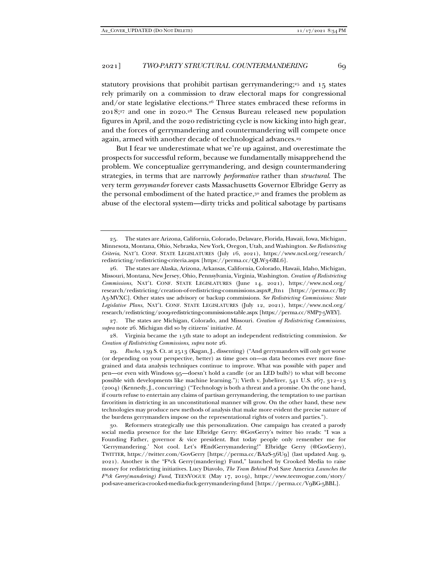statutory provisions that prohibit partisan gerrymandering;<sup>25</sup> and 15 states rely primarily on a commission to draw electoral maps for congressional and/or state legislative elections.<sup>26</sup> Three states embraced these reforms in 2018;27 and one in 2020.28 The Census Bureau released new population figures in April, and the 2020 redistricting cycle is now kicking into high gear, and the forces of gerrymandering and countermandering will compete once again, armed with another decade of technological advances.29

But I fear we underestimate what we're up against, and overestimate the prospects for successful reform, because we fundamentally misapprehend the problem. We conceptualize gerrymandering, and design countermandering strategies, in terms that are narrowly *performative* rather than *structural*. The very term *gerrymander* forever casts Massachusetts Governor Elbridge Gerry as the personal embodiment of the hated practice,30 and frames the problem as abuse of the electoral system—dirty tricks and political sabotage by partisans

 27. The states are Michigan, Colorado, and Missouri. *Creation of Redistricting Commissions*, *supra* note 26. Michigan did so by citizens' initiative. *Id.*

 28. Virginia became the 15th state to adopt an independent redistricting commission. *See Creation of Redistricting Commissions*, *supra* note 26.

 29. *Rucho*, 139 S. Ct. at 2513 (Kagan, J., dissenting) ("And gerrymanders will only get worse (or depending on your perspective, better) as time goes on—as data becomes ever more finegrained and data analysis techniques continue to improve. What was possible with paper and pen—or even with Windows 95—doesn't hold a candle (or an LED bulb?) to what will become possible with developments like machine learning."); Vieth v. Jubelirer, 541 U.S. 267, 312–13 (2004) (Kennedy, J., concurring) ("Technology is both a threat and a promise. On the one hand, if courts refuse to entertain any claims of partisan gerrymandering, the temptation to use partisan favoritism in districting in an unconstitutional manner will grow. On the other hand, these new technologies may produce new methods of analysis that make more evident the precise nature of the burdens gerrymanders impose on the representational rights of voters and parties.").

 30. Reformers strategically use this personalization. One campaign has created a parody social media presence for the late Elbridge Gerry: @GovGerry's twitter bio reads: "I was a Founding Father, governor & vice president. But today people only remember me for 'Gerrymandering.' Not cool. Let's #EndGerrymandering!" Elbridge Gerry (@GovGerry), TWITTER, https://twitter.com/GovGerry [https://perma.cc/BA2S-56U9] (last updated Aug. 9, 2021). Another is the "F\*ck Gerry(mandering) Fund," launched by Crooked Media to raise money for redistricting initiatives. Lucy Diavolo, *The Team Behind* Pod Save America *Launches the F\*ck Gerry(mandering) Fund*, TEENVOGUE (May 17, 2019), https://www.teenvogue.com/story/ pod-save-america-crooked-media-fuck-gerrymandering-fund [https://perma.cc/V9BG-5BBL].

 <sup>25.</sup> The states are Arizona, California, Colorado, Delaware, Florida, Hawaii, Iowa, Michigan, Minnesota, Montana, Ohio, Nebraska, New York, Oregon, Utah, and Washington. *See Redistricting Criteria*, NAT'L CONF. STATE LEGISLATURES (July 16, 2021), https://www.ncsl.org/research/ redistricting/redistricting-criteria.aspx [https://perma.cc/QLW3-6BL6].

 <sup>26.</sup> The states are Alaska, Arizona, Arkansas, California, Colorado, Hawaii, Idaho, Michigan, Missouri, Montana, New Jersey, Ohio, Pennsylvania, Virginia, Washington. *Creation of Redistricting Commissions*, NAT'L CONF. STATE LEGISLATURES (June 14, 2021), https://www.ncsl.org/ research/redistricting/creation-of-redistricting-commissions.aspx#\_ftn1 [https://perma.cc/B7 A3-MVXC]. Other states use advisory or backup commissions. *See Redistricting Commissions: State Legislative Plans*, NAT'L CONF. STATE LEGISLATURES (July 12, 2021), https://www.ncsl.org/ research/redistricting/2009-redistricting-commissions-table.aspx [https://perma.cc/8MP7-5WEY].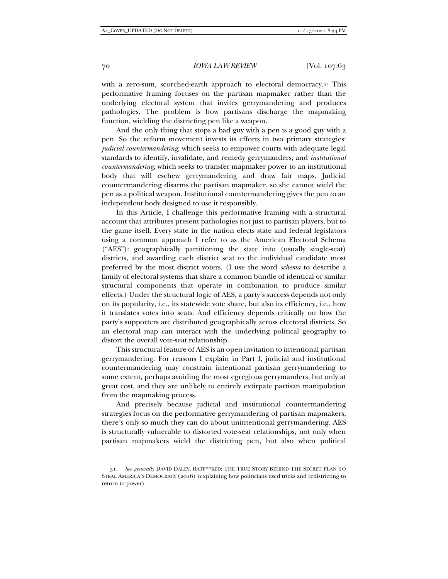with a zero-sum, scorched-earth approach to electoral democracy.<sup>31</sup> This performative framing focuses on the partisan mapmaker rather than the underlying electoral system that invites gerrymandering and produces pathologies. The problem is how partisans discharge the mapmaking function, wielding the districting pen like a weapon.

And the only thing that stops a bad guy with a pen is a good guy with a pen. So the reform movement invests its efforts in two primary strategies: *judicial countermandering*, which seeks to empower courts with adequate legal standards to identify, invalidate, and remedy gerrymanders; and *institutional countermandering*, which seeks to transfer mapmaker power to an institutional body that will eschew gerrymandering and draw fair maps. Judicial countermandering disarms the partisan mapmaker, so she cannot wield the pen as a political weapon. Institutional countermandering gives the pen to an independent body designed to use it responsibly.

In this Article, I challenge this performative framing with a structural account that attributes present pathologies not just to partisan players, but to the game itself. Every state in the nation elects state and federal legislators using a common approach I refer to as the American Electoral Schema ("AES"): geographically partitioning the state into (usually single-seat) districts, and awarding each district seat to the individual candidate most preferred by the most district voters. (I use the word *schema* to describe a family of electoral systems that share a common bundle of identical or similar structural components that operate in combination to produce similar effects.) Under the structural logic of AES, a party's success depends not only on its popularity, i.e., its statewide vote share, but also its efficiency, i.e., how it translates votes into seats. And efficiency depends critically on how the party's supporters are distributed geographically across electoral districts. So an electoral map can interact with the underlying political geography to distort the overall vote-seat relationship.

This structural feature of AES is an open invitation to intentional partisan gerrymandering. For reasons I explain in Part I, judicial and institutional countermandering may constrain intentional partisan gerrymandering to some extent, perhaps avoiding the most egregious gerrymanders, but only at great cost, and they are unlikely to entirely extirpate partisan manipulation from the mapmaking process.

And precisely because judicial and institutional countermandering strategies focus on the performative gerrymandering of partisan mapmakers, there's only so much they can do about unintentional gerrymandering. AES is structurally vulnerable to distorted vote-seat relationships, not only when partisan mapmakers wield the districting pen, but also when political

 <sup>31.</sup> *See generally* DAVID DALEY, RATF\*\*KED: THE TRUE STORY BEHIND THE SECRET PLAN TO STEAL AMERICA'S DEMOCRACY (2016) (explaining how politicians used tricks and redistricting to return to power).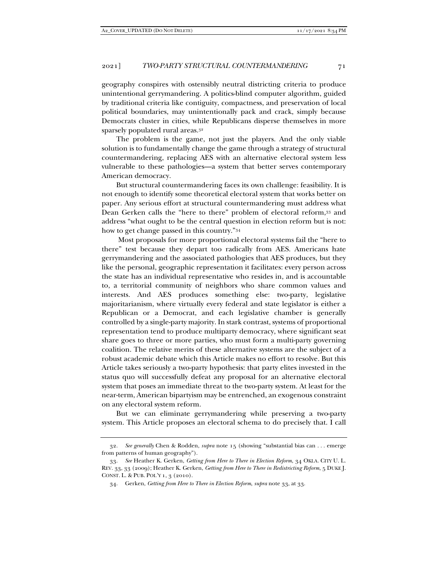geography conspires with ostensibly neutral districting criteria to produce unintentional gerrymandering. A politics-blind computer algorithm, guided by traditional criteria like contiguity, compactness, and preservation of local political boundaries, may unintentionally pack and crack, simply because Democrats cluster in cities, while Republicans disperse themselves in more sparsely populated rural areas.32

The problem is the game, not just the players. And the only viable solution is to fundamentally change the game through a strategy of structural countermandering, replacing AES with an alternative electoral system less vulnerable to these pathologies—a system that better serves contemporary American democracy.

But structural countermandering faces its own challenge: feasibility. It is not enough to identify some theoretical electoral system that works better on paper. Any serious effort at structural countermandering must address what Dean Gerken calls the "here to there" problem of electoral reform,33 and address "what ought to be the central question in election reform but is not: how to get change passed in this country."34

 Most proposals for more proportional electoral systems fail the "here to there" test because they depart too radically from AES. Americans hate gerrymandering and the associated pathologies that AES produces, but they like the personal, geographic representation it facilitates: every person across the state has an individual representative who resides in, and is accountable to, a territorial community of neighbors who share common values and interests. And AES produces something else: two-party, legislative majoritarianism, where virtually every federal and state legislator is either a Republican or a Democrat, and each legislative chamber is generally controlled by a single-party majority. In stark contrast, systems of proportional representation tend to produce multiparty democracy, where significant seat share goes to three or more parties, who must form a multi-party governing coalition. The relative merits of these alternative systems are the subject of a robust academic debate which this Article makes no effort to resolve. But this Article takes seriously a two-party hypothesis: that party elites invested in the status quo will successfully defeat any proposal for an alternative electoral system that poses an immediate threat to the two-party system. At least for the near-term, American bipartyism may be entrenched, an exogenous constraint on any electoral system reform.

But we can eliminate gerrymandering while preserving a two-party system. This Article proposes an electoral schema to do precisely that. I call

 <sup>32.</sup> *See generally* Chen & Rodden, *supra* note 15 (showing "substantial bias can . . . emerge from patterns of human geography").

 <sup>33.</sup> *See* Heather K. Gerken, *Getting from Here to There in Election Reform*, 34 OKLA. CITY U. L. REV. 33, 33 (2009); Heather K. Gerken, *Getting from Here to There in Redistricting Reform*, 5 DUKE J. CONST. L. & PUB. POL'Y 1, 3 (2010).

 <sup>34.</sup> Gerken, *Getting from Here to There in Election Reform*, *supra* note 33, at 33.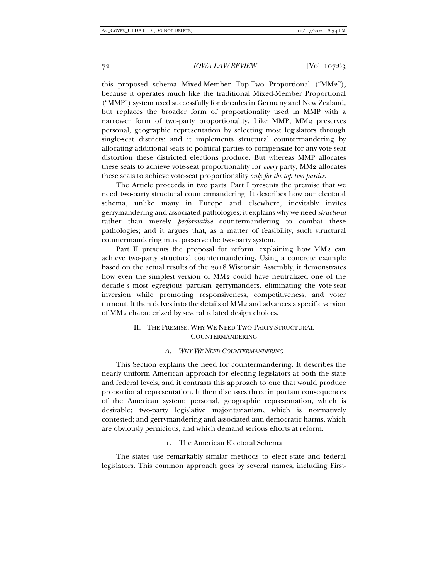this proposed schema Mixed-Member Top-Two Proportional ("MM2"), because it operates much like the traditional Mixed-Member Proportional ("MMP") system used successfully for decades in Germany and New Zealand, but replaces the broader form of proportionality used in MMP with a narrower form of two-party proportionality. Like MMP, MM2 preserves personal, geographic representation by selecting most legislators through single-seat districts; and it implements structural countermandering by allocating additional seats to political parties to compensate for any vote-seat distortion these districted elections produce. But whereas MMP allocates these seats to achieve vote-seat proportionality for *every* party, MM2 allocates these seats to achieve vote-seat proportionality *only for the top two parties*.

The Article proceeds in two parts. Part I presents the premise that we need two-party structural countermandering. It describes how our electoral schema, unlike many in Europe and elsewhere, inevitably invites gerrymandering and associated pathologies; it explains why we need *structural* rather than merely *performative* countermandering to combat these pathologies; and it argues that, as a matter of feasibility, such structural countermandering must preserve the two-party system.

Part II presents the proposal for reform, explaining how MM2 can achieve two-party structural countermandering. Using a concrete example based on the actual results of the 2018 Wisconsin Assembly, it demonstrates how even the simplest version of MM2 could have neutralized one of the decade's most egregious partisan gerrymanders, eliminating the vote-seat inversion while promoting responsiveness, competitiveness, and voter turnout. It then delves into the details of MM2 and advances a specific version of MM2 characterized by several related design choices.

#### II. THE PREMISE: WHY WE NEED TWO-PARTY STRUCTURAL COUNTERMANDERING

#### *A. WHY WE NEED COUNTERMANDERING*

This Section explains the need for countermandering. It describes the nearly uniform American approach for electing legislators at both the state and federal levels, and it contrasts this approach to one that would produce proportional representation. It then discusses three important consequences of the American system: personal, geographic representation, which is desirable; two-party legislative majoritarianism, which is normatively contested; and gerrymandering and associated anti-democratic harms, which are obviously pernicious, and which demand serious efforts at reform.

#### 1. The American Electoral Schema

The states use remarkably similar methods to elect state and federal legislators. This common approach goes by several names, including First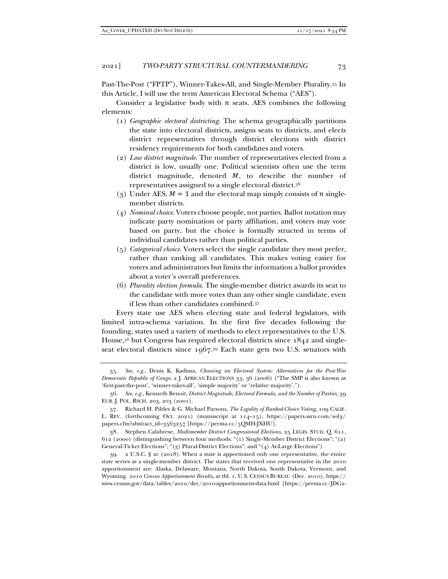Past-The-Post ("FPTP"), Winner-Takes-All, and Single-Member Plurality.35 In this Article, I will use the term American Electoral Schema ("AES").

Consider a legislative body with  $n$  seats. AES combines the following elements:

- (1) *Geographic electoral districting*. The schema geographically partitions the state into electoral districts, assigns seats to districts, and elects district representatives through district elections with district residency requirements for both candidates and voters.
- (2) *Low district magnitude*. The number of representatives elected from a district is low, usually one. Political scientists often use the term district magnitude, denoted  $M$ , to describe the number of representatives assigned to a single electoral district.36
- (3) Under AES,  $M = 1$  and the electoral map simply consists of *n* singlemember districts.
- (4) *Nominal choice*. Voters choose people, not parties. Ballot notation may indicate party nomination or party affiliation, and voters may vote based on party, but the choice is formally structed in terms of individual candidates rather than political parties.
- (5) *Categorical choice*. Voters select the single candidate they most prefer, rather than ranking all candidates. This makes voting easier for voters and administrators but limits the information a ballot provides about a voter's overall preferences.
- (6) *Plurality election formula*. The single-member district awards its seat to the candidate with more votes than any other single candidate, even if less than other candidates combined.37

Every state use AES when electing state and federal legislators, with limited intra-schema variation. In the first five decades following the founding, states used a variety of methods to elect representatives to the U.S. House,38 but Congress has required electoral districts since 1842 and singleseat electoral districts since 1967.39 Each state gets two U.S. senators with

 <sup>35.</sup> *See, e.g.*, Denis K. Kadima, *Choosing an Electoral System: Alternatives for the Post-War Democratic Republic of Congo*, 2 J. AFRICAN ELECTIONS 33, 36 (2006) ("The SMP is also known as 'first-past-the-post', 'winner-takes-all', 'simple majority' or 'relative majority'.").

 <sup>36.</sup> *See, e.g.*, Kenneth Benoit, *District Magnitude, Electoral Formula, and the Number of Parties*, 39 EUR. J. POL. RSCH. 203, 203 (2001).

 <sup>37.</sup> Richard H. Pildes & G. Michael Parsons, *The Legality of Ranked-Choice Voting*, 109 CALIF. L. REV. (forthcoming Oct. 2021) (manuscript at 114–15), https://papers.ssrn.com/sol3/ papers.cfm?abstract\_id=3563257 [https://perma.cc/5QMH-JXHU].

 <sup>38.</sup> Stephen Calabrese, *Multimember District Congressional Elections*, 25 LEGIS. STUD. Q. 611, 612 (2000) (distinguishing between four methods: "(1) Single-Member District Elections"; "(2) General-Ticket Elections"; "(3) Plural-District Elections"; and "(4) At-Large Elections").

 <sup>39. 2</sup> U.S.C. § 2c (2018). When a state is apportioned only one representative, the entire state serves as a single-member district. The states that received one representative in the 2010 apportionment are: Alaska, Delaware, Montana, North Dakota, South Dakota, Vermont, and Wyoming. *2010 Census Apportionment Results*, at tbl. 1, U.S. CENSUS BUREAU (Dec. 2010), https:// www.census.gov/data/tables/2010/dec/2010-apportionment-data.html [https://perma.cc/JDG2-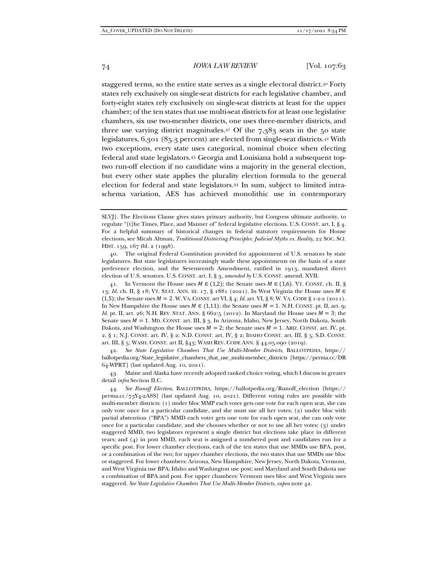staggered terms, so the entire state serves as a single electoral district.40 Forty states rely exclusively on single-seat districts for each legislative chamber, and forty-eight states rely exclusively on single-seat districts at least for the upper chamber; of the ten states that use multi-seat districts for at least one legislative chambers, six use two-member districts, one uses three-member districts, and three use varying district magnitudes.<sup>41</sup> Of the  $7,383$  seats in the 50 state legislatures, 6,301 (85.3 percent) are elected from single-seat districts.42 With two exceptions, every state uses categorical, nominal choice when electing federal and state legislators.43 Georgia and Louisiana hold a subsequent toptwo run-off election if no candidate wins a majority in the general election, but every other state applies the plurality election formula to the general election for federal and state legislators.44 In sum, subject to limited intraschema variation, AES has achieved monolithic use in contemporary

41. In Vermont the House uses  $M \in (1,2)$ ; the Senate uses  $M \in (1,6)$ . VT. CONST. ch. II, § 13; *Id.* ch. II, § 18; VT. STAT. ANN. tit. 17, § 1881 (2021). In West Virginia the House uses  $M \in$  $(1,5)$ ; the Senate uses  $M = 2$ . W. VA. CONST. art VI, § 4; *Id.* art. VI, § 8; W. VA. CODE § 1-2-2 (2011). In New Hampshire the House uses  $M \in (1,11)$ ; the Senate uses  $M = 1$ . N.H. CONST. pt. II, art. 9; *Id.* pt. II, art. 26; N.H. REV. STAT. ANN. §  $662:5$  (2012). In Maryland the House uses  $M = 3$ ; the Senate uses  $M = 1$ . MD. CONST. art. III, § 3. In Arizona, Idaho, New Jersey, North Dakota, South Dakota, and Washington the House uses  $M = 2$ ; the Senate uses  $M = 1$ . ARIZ. CONST. art. IV, pt. 2, § 1; N.J. CONST. art. IV, § 2; N.D. CONST. art. IV, § 2; IDAHO CONST. art. III, § 5; S.D. CONST. art. III, § 5; WASH. CONST. art II, §43; WASH REV. CODE ANN. § 44.05.090 (2019).

 42. *See State Legislative Chambers That Use Multi-Member Districts*, BALLOTPEDIA, https:// ballotpedia.org/State\_legislative\_chambers\_that\_use\_multi-member\_districts [https://perma.cc/DR 64-WPRT] (last updated Aug. 10, 2021).

 43. Maine and Alaska have recently adopted ranked choice voting, which I discuss in greater detail *infra* Section II.C*.*

 44. *See Runoff Election*, BALLOTPEDIA, https://ballotpedia.org/Runoff\_election [https:// perma.cc/73Y4-2A8S] (last updated Aug. 10, 2021). Different voting rules are possible with multi-member districts: (1) under bloc MMP each voter gets one vote for each open seat, she can only vote once for a particular candidate, and she must use all her votes; (2) under bloc with partial abstention ("BPA") MMD each voter gets one vote for each open seat, she can only vote once for a particular candidate, and she chooses whether or not to use all her votes; (3) under staggered MMD, two legislators represent a single district but elections take place in different years; and (4) in post MMD, each seat is assigned a numbered post and candidates run for a specific post. For lower chamber elections, each of the ten states that use MMDs use BPA, post, or a combination of the two; for upper chamber elections, the two states that use MMDs use bloc or staggered. For lower chambers: Arizona, New Hampshire, New Jersey, North Dakota, Vermont, and West Virginia use BPA; Idaho and Washington use post; and Maryland and South Dakota use a combination of BPA and post. For upper chambers: Vermont uses bloc and West Virginia uses staggered. *See State Legislative Chambers That Use Multi-Member Districts*, *supra* note 42.

SLVJ]. The Elections Clause gives states primary authority, but Congress ultimate authority, to regulate "[t]he Times, Place, and Manner of" federal legislative elections. U.S. CONST. art. I, § 4. For a helpful summary of historical changes in federal statutory requirements for House elections, see Micah Altman, *Traditional Districting Principles: Judicial Myths vs. Reality*, 22 SOC. SCI. HIST. 159, 167 tbl. 2 (1998).

 <sup>40.</sup> The original Federal Constitution provided for appointment of U.S. senators by state legislatures. But state legislatures increasingly made these appointments on the basis of a state preference election, and the Seventeenth Amendment, ratified in 1913, mandated direct election of U.S. senators. U.S. CONST. art. I, § 3, *amended by* U.S. CONST. amend. XVII.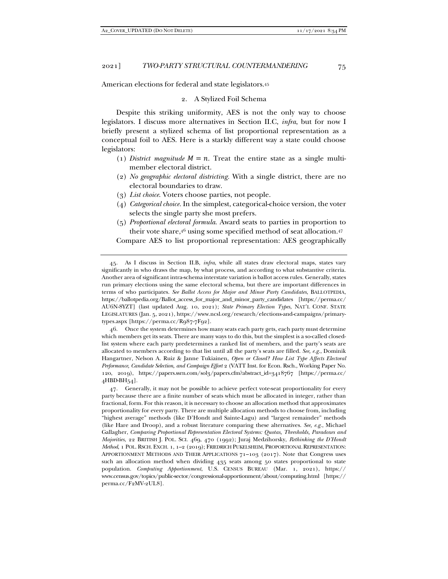American elections for federal and state legislators.45

#### 2. A Stylized Foil Schema

Despite this striking uniformity, AES is not the only way to choose legislators. I discuss more alternatives in Section II.C, *infra*, but for now I briefly present a stylized schema of list proportional representation as a conceptual foil to AES. Here is a starkly different way a state could choose legislators:

- (1) *District magnitude*  $M = n$ . Treat the entire state as a single multimember electoral district.
- (2) *No geographic electoral districting.* With a single district, there are no electoral boundaries to draw.
- (3) *List choice*. Voters choose parties, not people.
- (4) *Categorical choice.* In the simplest, categorical-choice version, the voter selects the single party she most prefers.
- (5) *Proportional electoral formula*. Award seats to parties in proportion to their vote share,46 using some specified method of seat allocation.47

Compare AES to list proportional representation: AES geographically

 46. Once the system determines how many seats each party gets, each party must determine which members get its seats. There are many ways to do this, but the simplest is a so-called closedlist system where each party predetermines a ranked list of members, and the party's seats are allocated to members according to that list until all the party's seats are filled. *See, e.g.*, Dominik Hangartner, Nelson A. Ruiz & Janne Tukiainen, *Open or Closed? How List Type Affects Electoral Performance, Candidate Selection, and Campaign Effort* 2 (VATT Inst. for Econ. Rsch., Working Paper No. 120, 2019), https://papers.ssrn.com/sol3/papers.cfm?abstract\_id=3418767 [https://perma.cc/ 4HBD-BH54].

 47. Generally, it may not be possible to achieve perfect vote-seat proportionality for every party because there are a finite number of seats which must be allocated in integer, rather than fractional, form. For this reason, it is necessary to choose an allocation method that approximates proportionality for every party. There are multiple allocation methods to choose from, including "highest average" methods (like D'Hondt and Sainte-Lagu) and "largest remainder" methods (like Hare and Droop), and a robust literature comparing these alternatives. *See, e.g.*, Michael Gallagher, *Comparing Proportional Representation Electoral Systems: Quotas, Thresholds, Paradoxes and Majorities*, 22 BRITISH J. POL. SCI. 469, 470 (1992); Juraj Medzihorsky, *Rethinking the D'Hondt Method*, 1 POL. RSCH. EXCH. 1, 1–2 (2019); FRIEDRICH PUKELSHEIM, PROPORTIONAL REPRESENTATION: APPORTIONMENT METHODS AND THEIR APPLICATIONS 71–103 (2017). Note that Congress uses such an allocation method when dividing 435 seats among 50 states proportional to state population. *Computing Apportionment*, U.S. CENSUS BUREAU (Mar. 1, 2021), https:// www.census.gov/topics/public-sector/congressional-apportionment/about/computing.html [https:// perma.cc/F2MV-2UL8].

 <sup>45.</sup> As I discuss in Section II.B, *infra*, while all states draw electoral maps, states vary significantly in who draws the map, by what process, and according to what substantive criteria. Another area of significant intra-schema interstate variation is ballot access rules. Generally, states run primary elections using the same electoral schema, but there are important differences in terms of who participates. *See Ballot Access for Major and Minor Party Candidates*, BALLOTPEDIA, https://ballotpedia.org/Ballot\_access\_for\_major\_and\_minor\_party\_candidates [https://perma.cc/ AU6N-8YZT] (last updated Aug. 10, 2021); *State Primary Election Types*, NAT'L CONF. STATE LEGISLATURES (Jan. 5, 2021), https://www.ncsl.org/research/elections-and-campaigns/primarytypes.aspx [https://perma.cc/R987-7F92].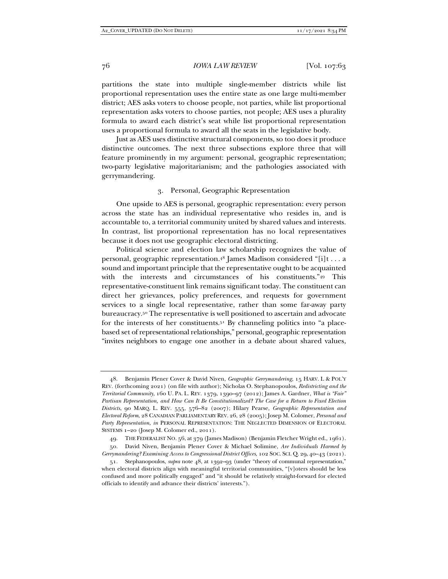partitions the state into multiple single-member districts while list proportional representation uses the entire state as one large multi-member district; AES asks voters to choose people, not parties, while list proportional representation asks voters to choose parties, not people; AES uses a plurality formula to award each district's seat while list proportional representation uses a proportional formula to award all the seats in the legislative body.

Just as AES uses distinctive structural components, so too does it produce distinctive outcomes. The next three subsections explore three that will feature prominently in my argument: personal, geographic representation; two-party legislative majoritarianism; and the pathologies associated with gerrymandering.

#### 3. Personal, Geographic Representation

One upside to AES is personal, geographic representation: every person across the state has an individual representative who resides in, and is accountable to, a territorial community united by shared values and interests. In contrast, list proportional representation has no local representatives because it does not use geographic electoral districting.

Political science and election law scholarship recognizes the value of personal, geographic representation.48 James Madison considered "[i]t . . . a sound and important principle that the representative ought to be acquainted with the interests and circumstances of his constituents."49 This representative-constituent link remains significant today. The constituent can direct her grievances, policy preferences, and requests for government services to a single local representative, rather than some far-away party bureaucracy.50 The representative is well positioned to ascertain and advocate for the interests of her constituents.<sup>51</sup> By channeling politics into "a placebased set of representational relationships," personal, geographic representation "invites neighbors to engage one another in a debate about shared values,

49. THE FEDERALIST NO. 56, at 379 (James Madison) (Benjamin Fletcher Wright ed., 1961).

 50. David Niven, Benjamin Plener Cover & Michael Solimine, *Are Individuals Harmed by Gerrymandering? Examining Access to Congressional District Offices*, 102 SOC. SCI. Q. 29, 40–43 (2021).

 <sup>48.</sup> Benjamin Plener Cover & David Niven, *Geographic Gerrymandering*, 15 HARV. L & POL'Y REV. (forthcoming 2021) (on file with author); Nicholas O. Stephanopoulos, *Redistricting and the Territorial Community*, 160 U. PA. L. REV. 1379, 1390–97 (2012); James A. Gardner, *What is "Fair" Partisan Representation, and How Can It Be Constitutionalized? The Case for a Return to Fixed Election Districts*, 90 MARQ. L. REV. 555, 576–82 (2007); Hilary Pearse, *Geographic Representation and Electoral Reform*, 28 CANADIAN PARLIAMENTARY REV. 26, 28 (2005); Josep M. Colomer, *Personal and Party Representation*, *in* PERSONAL REPRESENTATION: THE NEGLECTED DIMENSION OF ELECTORAL SYSTEMS 1–20 (Josep M. Colomer ed., 2011).

 <sup>51.</sup> Stephanopoulos, *supra* note 48, at 1392–93 (under "theory of communal representation," when electoral districts align with meaningful territorial communities, "[v]oters should be less confused and more politically engaged" and "it should be relatively straight-forward for elected officials to identify and advance their districts' interests.").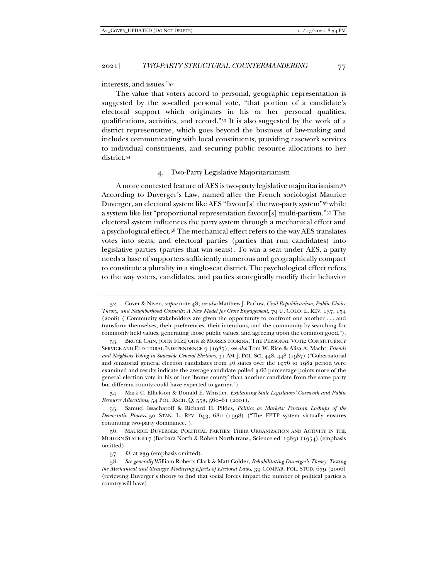interests, and issues."52

The value that voters accord to personal, geographic representation is suggested by the so-called personal vote, "that portion of a candidate's electoral support which originates in his or her personal qualities, qualifications, activities, and record."53 It is also suggested by the work of a district representative, which goes beyond the business of law-making and includes communicating with local constituents, providing casework services to individual constituents, and securing public resource allocations to her district.54

#### 4. Two-Party Legislative Majoritarianism

A more contested feature of AES is two-party legislative majoritarianism.55 According to Duverger's Law, named after the French sociologist Maurice Duverger, an electoral system like AES "favour[s] the two-party system"<sup>56</sup> while a system like list "proportional representation favour[s] multi-partism."57 The electoral system influences the party system through a mechanical effect and a psychological effect.58 The mechanical effect refers to the way AES translates votes into seats, and electoral parties (parties that run candidates) into legislative parties (parties that win seats). To win a seat under AES, a party needs a base of supporters sufficiently numerous and geographically compact to constitute a plurality in a single-seat district. The psychological effect refers to the way voters, candidates, and parties strategically modify their behavior

 <sup>52.</sup> Cover & Niven, *supra* note 48*; see also* Matthew J. Parlow, *Civil Republicanism, Public Choice Theory, and Neighborhood Councils: A New Model for Civic Engagement*, 79 U. COLO. L. REV. 137, 154 (2008) ("Community stakeholders are given the opportunity to confront one another . . . and transform themselves, their preferences, their intentions, and the community by searching for commonly held values, generating those public values, and agreeing upon the common good.").

 <sup>53.</sup> BRUCE CAIN, JOHN FEREJOHN & MORRIS FIORINA, THE PERSONAL VOTE: CONSTITUENCY SERVICE AND ELECTORAL INDEPENDENCE 9 (1987); *see also* Tom W. Rice & Alisa A. Macht, *Friends and Neighbors Voting in Statewide General Elections*, 31 AM. J. POL. SCI. 448, 448 (1987) ("Gubernatorial and senatorial general election candidates from 46 states over the 1976 to 1982 period were examined and results indicate the average candidate polled 3.66 percentage points more of the general election vote in his or her 'home county' than another candidate from the same party but different county could have expected to garner.").

 <sup>54.</sup> Mark C. Ellickson & Donald E. Whistler, *Explaining State Legislators' Casework and Public Resource Allocations*, 54 POL. RSCH. Q. 553, 560–61 (2001).

 <sup>55.</sup> Samuel Issacharoff & Richard H. Pildes, *Politics as Markets: Partisan Lockups of the Democratic Process*, 50 STAN. L. REV. 643, 680 (1998) ("The FPTP system virtually ensures continuing two-party dominance.").

 <sup>56.</sup> MAURICE DUVERGER, POLITICAL PARTIES: THEIR ORGANIZATION AND ACTIVITY IN THE MODERN STATE 217 (Barbara North & Robert North trans., Science ed. 1963) (1954) (emphasis omitted).

 <sup>57.</sup> *Id.* at 239 (emphasis omitted).

 <sup>58.</sup> *See generally* William Roberts Clark & Matt Golder, *Rehabilitating Duverger's Theory: Testing the Mechanical and Strategic Modifying Effects of Electoral Laws*, 39 COMPAR. POL. STUD. 679 (2006) (reviewing Duverger's theory to find that social forces impact the number of political parties a country will have).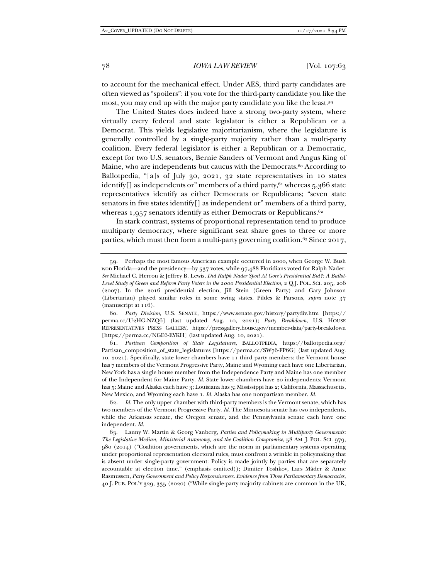to account for the mechanical effect. Under AES, third party candidates are often viewed as "spoilers": if you vote for the third-party candidate you like the most, you may end up with the major party candidate you like the least.59

The United States does indeed have a strong two-party system, where virtually every federal and state legislator is either a Republican or a Democrat. This yields legislative majoritarianism, where the legislature is generally controlled by a single-party majority rather than a multi-party coalition. Every federal legislator is either a Republican or a Democratic, except for two U.S. senators, Bernie Sanders of Vermont and Angus King of Maine, who are independents but caucus with the Democrats.<sup>60</sup> According to Ballotpedia, "[a]s of July 30, 2021, 32 state representatives in 10 states identify[] as independents or" members of a third party, $61$  whereas  $5,366$  state representatives identify as either Democrats or Republicans; "seven state senators in five states identify[] as independent or" members of a third party, whereas 1,957 senators identify as either Democrats or Republicans.<sup>62</sup>

In stark contrast, systems of proportional representation tend to produce multiparty democracy, where significant seat share goes to three or more parties, which must then form a multi-party governing coalition.<sup>63</sup> Since 2017,

 60. *Party Division*, U.S. SENATE, https://www.senate.gov/history/partydiv.htm [https:// perma.cc/U2HG-NZQ6] (last updated Aug. 10, 2021); *Party Breakdown*, U.S. HOUSE REPRESENTATIVES PRESS GALLERY, https://pressgallery.house.gov/member-data/party-breakdown [https://perma.cc/NGE6-EYKH] (last updated Aug. 10, 2021).

 61. *Partisan Composition of State Legislatures*, BALLOTPEDIA, https://ballotpedia.org/ Partisan\_composition\_of\_state\_legislatures [https://perma.cc/SW76-FP6G] (last updated Aug. 10, 2021). Specifically, state lower chambers have 11 third party members: the Vermont house has 7 members of the Vermont Progressive Party, Maine and Wyoming each have one Libertarian, New York has a single house member from the Independence Party and Maine has one member of the Independent for Maine Party. *Id.* State lower chambers have 20 independents: Vermont has 5; Maine and Alaska each have 3; Louisiana has 3; Mississippi has 2; California, Massachusetts, New Mexico, and Wyoming each have 1. *Id.* Alaska has one nonpartisan member. *Id.*

 62. *Id.* The only upper chamber with third-party members is the Vermont senate, which has two members of the Vermont Progressive Party. *Id.* The Minnesota senate has two independents, while the Arkansas senate, the Oregon senate, and the Pennsylvania senate each have one independent. *Id.*

 63. Lanny W. Martin & Georg Vanberg, *Parties and Policymaking in Multiparty Governments: The Legislative Median, Ministerial Autonomy, and the Coalition Compromise*, 58 AM. J. POL. SCI. 979, 980 (2014) ("Coalition governments, which are the norm in parliamentary systems operating under proportional representation electoral rules, must confront a wrinkle in policymaking that is absent under single-party government: Policy is made jointly by parties that are separately accountable at election time." (emphasis omitted)); Dimiter Toshkov, Lars Mäder & Anne Rasmussen, *Party Government and Policy Responsiveness. Evidence from Three Parliamentary Democracies*, 40 J. PUB. POL'Y 329, 335 (2020) ("While single-party majority cabinets are common in the UK,

 <sup>59.</sup> Perhaps the most famous American example occurred in 2000, when George W. Bush won Florida—and the presidency—by 537 votes, while 97,488 Floridians voted for Ralph Nader. *See* Michael C. Herron & Jeffrey B. Lewis, *Did Ralph Nader Spoil Al Gore's Presidential Bid?: A Ballot-Level Study of Green and Reform Party Voters in the 2000 Presidential Election*, 2 Q.J. POL. SCI. 205, 206 (2007). In the 2016 presidential election, Jill Stein (Green Party) and Gary Johnson (Libertarian) played similar roles in some swing states. Pildes & Parsons, *supra* note 37 (manuscript at 116).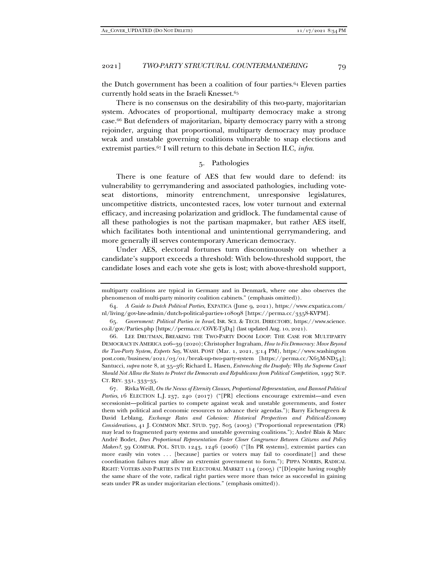the Dutch government has been a coalition of four parties.64 Eleven parties currently hold seats in the Israeli Knesset.65

There is no consensus on the desirability of this two-party, majoritarian system. Advocates of proportional, multiparty democracy make a strong case.66 But defenders of majoritarian, biparty democracy parry with a strong rejoinder, arguing that proportional, multiparty democracy may produce weak and unstable governing coalitions vulnerable to snap elections and extremist parties.67 I will return to this debate in Section II.C, *infra*.

#### 5. Pathologies

There is one feature of AES that few would dare to defend: its vulnerability to gerrymandering and associated pathologies, including voteseat distortions, minority entrenchment, unresponsive legislatures, uncompetitive districts, uncontested races, low voter turnout and external efficacy, and increasing polarization and gridlock. The fundamental cause of all these pathologies is not the partisan mapmaker, but rather AES itself, which facilitates both intentional and unintentional gerrymandering, and more generally ill serves contemporary American democracy.

Under AES, electoral fortunes turn discontinuously on whether a candidate's support exceeds a threshold: With below-threshold support, the candidate loses and each vote she gets is lost; with above-threshold support,

multiparty coalitions are typical in Germany and in Denmark, where one also observes the phenomenon of multi-party minority coalition cabinets." (emphasis omitted)).

 <sup>64.</sup> *A Guide to Dutch Political Parties*, EXPATICA (June 9, 2021), https://www.expatica.com/ nl/living/gov-law-admin/dutch-political-parties-108098 [https://perma.cc/3358-KVPM].

 <sup>65.</sup> *Government: Political Parties in Israel*, ISR. SCI. & TECH. DIRECTORY, https://www.science. co.il/gov/Parties.php [https://perma.cc/C6VE-T5D4] (last updated Aug. 10, 2021).

 <sup>66.</sup> LEE DRUTMAN, BREAKING THE TWO-PARTY DOOM LOOP: THE CASE FOR MULTIPARTY DEMOCRACY IN AMERICA 206–39 (2020); Christopher Ingraham, *How to Fix Democracy: Move Beyond the Two-Party System, Experts Say*, WASH. POST (Mar. 1, 2021, 3:14 PM), https://www.washington post.com/business/2021/03/01/break-up-two-party-system [https://perma.cc/X65M-ND54]; Santucci, *supra* note 8, at 35–36; Richard L. Hasen, *Entrenching the Duopoly: Why the Supreme Court Should Not Allow the States to Protect the Democrats and Republicans from Political Competition*, 1997 SUP. CT. REV. 331, 333–35.

 <sup>67.</sup> Rivka Weill, *On the Nexus of Eternity Clauses, Proportional Representation, and Banned Political Parties*, 16 ELECTION L.J. 237, 240 (2017) ("[PR] elections encourage extremist—and even secessionist—political parties to compete against weak and unstable governments, and foster them with political and economic resources to advance their agendas."); Barry Eichengreen & David Leblang, *Exchange Rates and Cohesion: Historical Perspectives and Political-Economy Considerations*, 41 J. COMMON MKT. STUD. 797, 805 (2003) ("Proportional representation (PR) may lead to fragmented party systems and unstable governing coalitions."); André Blais & Marc André Bodet, *Does Proportional Representation Foster Closer Congruence Between Citizens and Policy Makers?*, 39 COMPAR. POL. STUD. 1243, 1246 (2006) ("[In PR systems], extremist parties can more easily win votes ... [because] parties or voters may fail to coordinate[] and these coordination failures may allow an extremist government to form."); PIPPA NORRIS, RADICAL RIGHT: VOTERS AND PARTIES IN THE ELECTORAL MARKET 114 (2005) ("[D]espite having roughly the same share of the vote, radical right parties were more than twice as successful in gaining seats under PR as under majoritarian elections." (emphasis omitted)).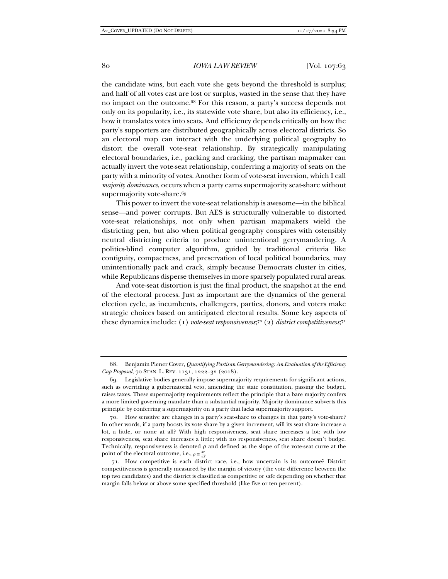the candidate wins, but each vote she gets beyond the threshold is surplus; and half of all votes cast are lost or surplus, wasted in the sense that they have no impact on the outcome.68 For this reason, a party's success depends not only on its popularity, i.e., its statewide vote share, but also its efficiency, i.e., how it translates votes into seats. And efficiency depends critically on how the party's supporters are distributed geographically across electoral districts. So an electoral map can interact with the underlying political geography to distort the overall vote-seat relationship. By strategically manipulating electoral boundaries, i.e., packing and cracking, the partisan mapmaker can actually invert the vote-seat relationship, conferring a majority of seats on the party with a minority of votes. Another form of vote-seat inversion, which I call *majority dominance*, occurs when a party earns supermajority seat-share without supermajority vote-share.<sup>69</sup>

This power to invert the vote-seat relationship is awesome—in the biblical sense—and power corrupts. But AES is structurally vulnerable to distorted vote-seat relationships, not only when partisan mapmakers wield the districting pen, but also when political geography conspires with ostensibly neutral districting criteria to produce unintentional gerrymandering. A politics-blind computer algorithm, guided by traditional criteria like contiguity, compactness, and preservation of local political boundaries, may unintentionally pack and crack, simply because Democrats cluster in cities, while Republicans disperse themselves in more sparsely populated rural areas.

And vote-seat distortion is just the final product, the snapshot at the end of the electoral process. Just as important are the dynamics of the general election cycle, as incumbents, challengers, parties, donors, and voters make strategic choices based on anticipated electoral results. Some key aspects of these dynamics include: (1) *vote-seat responsiveness*;7° (2) *district competitiveness*;7<sub>1</sub>

 <sup>68.</sup> Benjamin Plener Cover, *Quantifying Partisan Gerrymandering: An Evaluation of the Efficiency Gap Proposal*, 70 STAN. L. REV. 1131, 1222–32 (2018).

 <sup>69.</sup> Legislative bodies generally impose supermajority requirements for significant actions, such as overriding a gubernatorial veto, amending the state constitution, passing the budget, raises taxes. These supermajority requirements reflect the principle that a bare majority confers a more limited governing mandate than a substantial majority. Majority dominance subverts this principle by conferring a supermajority on a party that lacks supermajority support.

 <sup>70.</sup> How sensitive are changes in a party's seat-share to changes in that party's vote-share? In other words, if a party boosts its vote share by a given increment, will its seat share increase a lot, a little, or none at all? With high responsiveness, seat share increases a lot; with low responsiveness, seat share increases a little; with no responsiveness, seat share doesn't budge. Technically, responsiveness is denoted  $\rho$  and defined as the slope of the vote-seat curve at the point of the electoral outcome, i.e.,  $\rho \equiv \frac{dV}{ds}$ .

<sup>71.</sup> How competitive is each district race, i.e., how uncertain is its outcome? District competitiveness is generally measured by the margin of victory (the vote difference between the top two candidates) and the district is classified as competitive or safe depending on whether that margin falls below or above some specified threshold (like five or ten percent).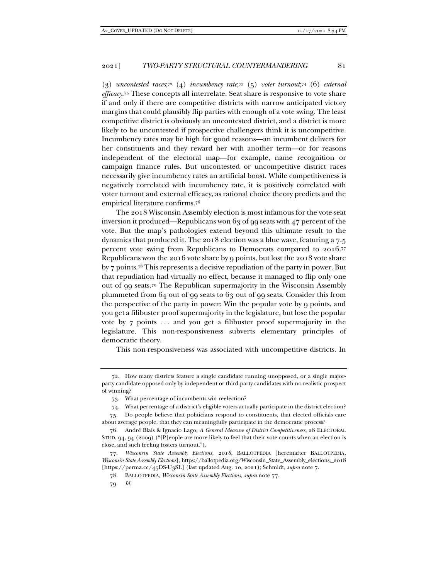(3) *uncontested races*; 72 (4) *incumbency rate*;73 (5) *voter turnout*;74 (6) *external efficacy*.75 These concepts all interrelate. Seat share is responsive to vote share if and only if there are competitive districts with narrow anticipated victory margins that could plausibly flip parties with enough of a vote swing. The least competitive district is obviously an uncontested district, and a district is more likely to be uncontested if prospective challengers think it is uncompetitive. Incumbency rates may be high for good reasons—an incumbent delivers for her constituents and they reward her with another term—or for reasons independent of the electoral map—for example, name recognition or campaign finance rules. But uncontested or uncompetitive district races necessarily give incumbency rates an artificial boost. While competitiveness is negatively correlated with incumbency rate, it is positively correlated with voter turnout and external efficacy, as rational choice theory predicts and the empirical literature confirms.76

The 2018 Wisconsin Assembly election is most infamous for the vote-seat inversion it produced—Republicans won  $63$  of 99 seats with 47 percent of the vote. But the map's pathologies extend beyond this ultimate result to the dynamics that produced it. The 2018 election was a blue wave, featuring a 7.5 percent vote swing from Republicans to Democrats compared to 2016.77 Republicans won the 2016 vote share by 9 points, but lost the 2018 vote share by 7 points.78 This represents a decisive repudiation of the party in power. But that repudiation had virtually no effect, because it managed to flip only one out of 99 seats.79 The Republican supermajority in the Wisconsin Assembly plummeted from 64 out of 99 seats to 63 out of 99 seats. Consider this from the perspective of the party in power: Win the popular vote by 9 points, and you get a filibuster proof supermajority in the legislature, but lose the popular vote by 7 points . . . and you get a filibuster proof supermajority in the legislature. This non-responsiveness subverts elementary principles of democratic theory.

This non-responsiveness was associated with uncompetitive districts. In

<sup>72.</sup> How many districts feature a single candidate running unopposed, or a single majorparty candidate opposed only by independent or third-party candidates with no realistic prospect of winning?

<sup>73.</sup> What percentage of incumbents win reelection?

<sup>74.</sup> What percentage of a district's eligible voters actually participate in the district election?

 <sup>75.</sup> Do people believe that politicians respond to constituents, that elected officials care about average people, that they can meaningfully participate in the democratic process?

 <sup>76.</sup> André Blais & Ignacio Lago, *A General Measure of District Competitiveness*, 28 ELECTORAL STUD. 94, 94 (2009) ("[P]eople are more likely to feel that their vote counts when an election is close, and such feeling fosters turnout.").

 <sup>77.</sup> *Wisconsin State Assembly Elections, 2018*, BALLOTPEDIA [hereinafter BALLOTPEDIA, *Wisconsin State Assembly Elections*], https://ballotpedia.org/Wisconsin\_State\_Assembly\_elections,\_2018 [https://perma.cc/45DS-U3SL] (last updated Aug. 10, 2021); Schmidt, *supra* note 7.

 <sup>78.</sup> BALLOTPEDIA, *Wisconsin State Assembly Elections*, *supra* note 77.

 <sup>79.</sup> *Id.*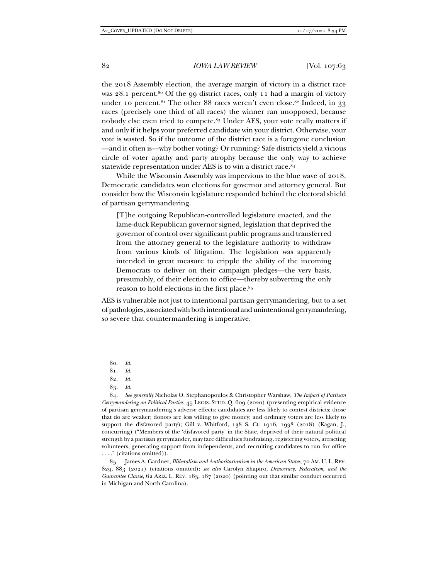the 2018 Assembly election, the average margin of victory in a district race was  $28.1$  percent.<sup>80</sup> Of the 99 district races, only 11 had a margin of victory under 10 percent.<sup>81</sup> The other 88 races weren't even close.<sup>82</sup> Indeed, in 33 races (precisely one third of all races) the winner ran unopposed, because nobody else even tried to compete.83 Under AES, your vote really matters if and only if it helps your preferred candidate win your district. Otherwise, your vote is wasted. So if the outcome of the district race is a foregone conclusion —and it often is—why bother voting? Or running? Safe districts yield a vicious circle of voter apathy and party atrophy because the only way to achieve statewide representation under AES is to win a district race.84

While the Wisconsin Assembly was impervious to the blue wave of 2018, Democratic candidates won elections for governor and attorney general. But consider how the Wisconsin legislature responded behind the electoral shield of partisan gerrymandering.

[T]he outgoing Republican-controlled legislature enacted, and the lame-duck Republican governor signed, legislation that deprived the governor of control over significant public programs and transferred from the attorney general to the legislature authority to withdraw from various kinds of litigation. The legislation was apparently intended in great measure to cripple the ability of the incoming Democrats to deliver on their campaign pledges—the very basis, presumably, of their election to office—thereby subverting the only reason to hold elections in the first place.85

AES is vulnerable not just to intentional partisan gerrymandering, but to a set of pathologies, associated with both intentional and unintentional gerrymandering, so severe that countermandering is imperative.

 85. James A. Gardner, *Illiberalism and Authoritarianism in the American States*, 70 AM. U. L. REV. 829, 883 (2021) (citations omitted); *see also* Carolyn Shapiro, *Democracy, Federalism, and the Guarantee Clause*, 62 ARIZ. L. REV. 183, 187 (2020) (pointing out that similar conduct occurred in Michigan and North Carolina).

 <sup>80.</sup> *Id.*

 <sup>81.</sup> *Id.*

 <sup>82.</sup> *Id.*

 <sup>83.</sup> *Id.*

 <sup>84.</sup> *See generally* Nicholas O. Stephanopoulos & Christopher Warshaw, *The Impact of Partisan Gerrymandering on Political Parties*, 45 LEGIS. STUD. Q. 609 (2020) (presenting empirical evidence of partisan gerrymandering's adverse effects: candidates are less likely to contest districts; those that do are weaker; donors are less willing to give money; and ordinary voters are less likely to support the disfavored party); Gill v. Whitford, 138 S. Ct. 1916, 1938 (2018) (Kagan, J., concurring) ("Members of the 'disfavored party' in the State, deprived of their natural political strength by a partisan gerrymander, may face difficulties fundraising, registering voters, attracting volunteers, generating support from independents, and recruiting candidates to run for office . . . ." (citations omitted)).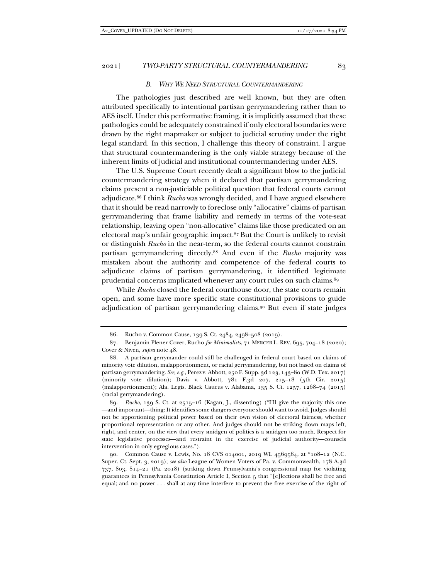#### *B. WHY WE NEED STRUCTURAL COUNTERMANDERING*

The pathologies just described are well known, but they are often attributed specifically to intentional partisan gerrymandering rather than to AES itself. Under this performative framing, it is implicitly assumed that these pathologies could be adequately constrained if only electoral boundaries were drawn by the right mapmaker or subject to judicial scrutiny under the right legal standard. In this section, I challenge this theory of constraint. I argue that structural countermandering is the only viable strategy because of the inherent limits of judicial and institutional countermandering under AES.

The U.S. Supreme Court recently dealt a significant blow to the judicial countermandering strategy when it declared that partisan gerrymandering claims present a non-justiciable political question that federal courts cannot adjudicate.86 I think *Rucho* was wrongly decided, and I have argued elsewhere that it should be read narrowly to foreclose only "allocative" claims of partisan gerrymandering that frame liability and remedy in terms of the vote-seat relationship, leaving open "non-allocative" claims like those predicated on an electoral map's unfair geographic impact.87 But the Court is unlikely to revisit or distinguish *Rucho* in the near-term, so the federal courts cannot constrain partisan gerrymandering directly.88 And even if the *Rucho* majority was mistaken about the authority and competence of the federal courts to adjudicate claims of partisan gerrymandering, it identified legitimate prudential concerns implicated whenever any court rules on such claims.<sup>89</sup>

While *Rucho* closed the federal courthouse door, the state courts remain open, and some have more specific state constitutional provisions to guide adjudication of partisan gerrymandering claims.90 But even if state judges

 89. *Rucho*, 139 S. Ct. at 2515–16 (Kagan, J., dissenting) ("I'll give the majority this one —and important—thing: It identifies some dangers everyone should want to avoid. Judges should not be apportioning political power based on their own vision of electoral fairness, whether proportional representation or any other. And judges should not be striking down maps left, right, and center, on the view that every smidgen of politics is a smidgen too much. Respect for state legislative processes—and restraint in the exercise of judicial authority—counsels intervention in only egregious cases.").

 90. Common Cause v. Lewis, No. 18 CVS 014001, 2019 WL 4569584, at \*108–12 (N.C. Super. Ct. Sept. 3, 2019); *see also* League of Women Voters of Pa. v. Commonwealth, 178 A.3d 737, 803, 814–21 (Pa. 2018) (striking down Pennsylvania's congressional map for violating guarantees in Pennsylvania Constitution Article I, Section 5 that "[e]lections shall be free and equal; and no power . . . shall at any time interfere to prevent the free exercise of the right of

 <sup>86.</sup> Rucho v. Common Cause, 139 S. Ct. 2484, 2498–508 (2019).

 <sup>87.</sup> Benjamin Plener Cover, Rucho *for Minimalists*, 71 MERCER L. REV. 695, 704–18 (2020); Cover & Niven, *supra* note 48.

 <sup>88.</sup> A partisan gerrymander could still be challenged in federal court based on claims of minority vote dilution, malapportionment, or racial gerrymandering, but not based on claims of partisan gerrymandering. *See, e.g.*, Perez v. Abbott, 250 F. Supp. 3d 123, 143–80 (W.D. Tex. 2017) (minority vote dilution); Davis v. Abbott, 781 F.3d 207, 215–18 (5th Cir. 2015) (malapportionment); Ala. Legis. Black Caucus v. Alabama, 135 S. Ct. 1257, 1268–74 (2015) (racial gerrymandering).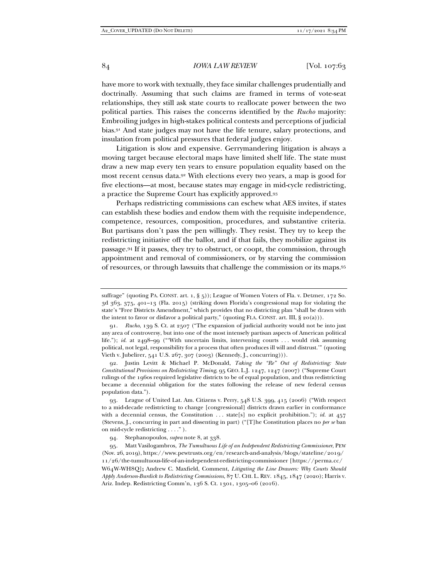have more to work with textually, they face similar challenges prudentially and doctrinally. Assuming that such claims are framed in terms of vote-seat relationships, they still ask state courts to reallocate power between the two political parties. This raises the concerns identified by the *Rucho* majority: Embroiling judges in high-stakes political contests and perceptions of judicial bias.91 And state judges may not have the life tenure, salary protections, and insulation from political pressures that federal judges enjoy.

Litigation is slow and expensive. Gerrymandering litigation is always a moving target because electoral maps have limited shelf life. The state must draw a new map every ten years to ensure population equality based on the most recent census data.92 With elections every two years, a map is good for five elections—at most, because states may engage in mid-cycle redistricting, a practice the Supreme Court has explicitly approved.93

Perhaps redistricting commissions can eschew what AES invites, if states can establish these bodies and endow them with the requisite independence, competence, resources, composition, procedures, and substantive criteria. But partisans don't pass the pen willingly. They resist. They try to keep the redistricting initiative off the ballot, and if that fails, they mobilize against its passage.94 If it passes, they try to obstruct, or coopt, the commission, through appointment and removal of commissioners, or by starving the commission of resources, or through lawsuits that challenge the commission or its maps.95

suffrage" (quoting PA. CONST. art. 1, § 5)); League of Women Voters of Fla. v. Detzner, 172 So. 3d 363, 375, 401–13 (Fla. 2015) (striking down Florida's congressional map for violating the state's "Free Districts Amendment," which provides that no districting plan "shall be drawn with the intent to favor or disfavor a political party," (quoting FLA. CONST. art. III,  $\S 20(a))$ ).

 <sup>91.</sup> *Rucho*, 139 S. Ct. at 2507 ("The expansion of judicial authority would not be into just any area of controversy, but into one of the most intensely partisan aspects of American political life."); *id.* at 2498–99 ("With uncertain limits, intervening courts ... would risk assuming political, not legal, responsibility for a process that often produces ill will and distrust.'" (quoting Vieth v. Jubelirer, 541 U.S. 267, 307 (2003) (Kennedy, J., concurring))).

 <sup>92.</sup> Justin Levitt & Michael P. McDonald, *Taking the "Re" Out of Redistricting: State Constitutional Provisions on Redistricting Timing*, 95 GEO. L.J. 1247, 1247 (2007) ("Supreme Court rulings of the 1960s required legislative districts to be of equal population, and thus redistricting became a decennial obligation for the states following the release of new federal census population data.").

 <sup>93.</sup> League of United Lat. Am. Citizens v. Perry, 548 U.S. 399, 415 (2006) ("With respect to a mid-decade redistricting to change [congressional] districts drawn earlier in conformance with a decennial census, the Constitution  $\dots$  state[s] no explicit prohibition."); *id.* at 457 (Stevens, J., concurring in part and dissenting in part) ("[T]he Constitution places no *per se* ban on mid-cycle redistricting . . . ." ).

 <sup>94.</sup> Stephanopoulos, *supra* note 8, at 338.

 <sup>95.</sup> Matt Vasilogambros, *The Tumultuous Life of an Independent Redistricting Commissioner*, PEW (Nov. 26, 2019), https://www.pewtrusts.org/en/research-and-analysis/blogs/stateline/2019/ 11/26/the-tumultuous-life-of-an-independent-redistricting-commissioner [https://perma.cc/ W64W-WH8Q]**;** Andrew C. Maxfield, Comment, *Litigating the Line Drawers: Why Courts Should Apply Anderson-Burdick to Redistricting Commissions*, 87 U. CHI. L. REV. 1845, 1847 (2020); Harris v. Ariz. Indep. Redistricting Comm'n, 136 S. Ct. 1301, 1305–06 (2016).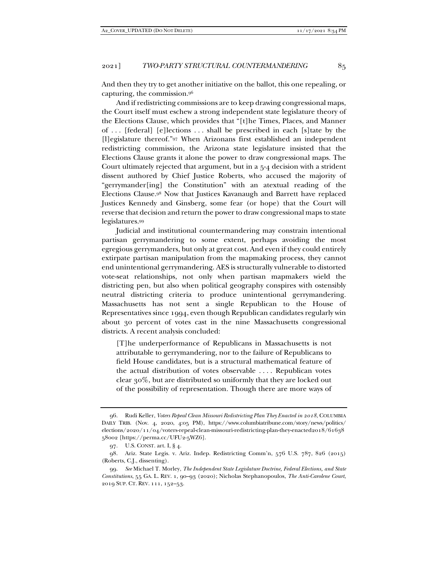And then they try to get another initiative on the ballot, this one repealing, or capturing, the commission.96

And if redistricting commissions are to keep drawing congressional maps, the Court itself must eschew a strong independent state legislature theory of the Elections Clause, which provides that "[t]he Times, Places, and Manner of . . . [federal] [e]lections . . . shall be prescribed in each [s]tate by the [l]egislature thereof."97 When Arizonans first established an independent redistricting commission, the Arizona state legislature insisted that the Elections Clause grants it alone the power to draw congressional maps. The Court ultimately rejected that argument, but in a 5-4 decision with a strident dissent authored by Chief Justice Roberts, who accused the majority of "gerrymander[ing] the Constitution" with an atextual reading of the Elections Clause.98 Now that Justices Kavanaugh and Barrett have replaced Justices Kennedy and Ginsberg, some fear (or hope) that the Court will reverse that decision and return the power to draw congressional maps to state legislatures.99

Judicial and institutional countermandering may constrain intentional partisan gerrymandering to some extent, perhaps avoiding the most egregious gerrymanders, but only at great cost. And even if they could entirely extirpate partisan manipulation from the mapmaking process, they cannot end unintentional gerrymandering. AES is structurally vulnerable to distorted vote-seat relationships, not only when partisan mapmakers wield the districting pen, but also when political geography conspires with ostensibly neutral districting criteria to produce unintentional gerrymandering. Massachusetts has not sent a single Republican to the House of Representatives since 1994, even though Republican candidates regularly win about 30 percent of votes cast in the nine Massachusetts congressional districts. A recent analysis concluded:

[T]he underperformance of Republicans in Massachusetts is not attributable to gerrymandering, nor to the failure of Republicans to field House candidates, but is a structural mathematical feature of the actual distribution of votes observable . . . . Republican votes clear 30%, but are distributed so uniformly that they are locked out of the possibility of representation. Though there are more ways of

 <sup>96.</sup> Rudi Keller, *Voters Repeal Clean Missouri Redistricting Plan They Enacted in 2018*, COLUMBIA DAILY TRIB. (Nov. 4, 2020, 4:05 PM), https://www.columbiatribune.com/story/news/politics/ elections/2020/11/04/voters-repeal-clean-missouri-redistricting-plan-they-enacted2018/61638 58002 [https://perma.cc/UFU2-5WZ6].

 <sup>97.</sup> U.S. CONST. art. I, § 4.

 <sup>98.</sup> Ariz. State Legis. v. Ariz. Indep. Redistricting Comm'n, 576 U.S. 787, 826 (2015) (Roberts, C.J., dissenting).

 <sup>99.</sup> *See* Michael T. Morley, *The Independent State Legislature Doctrine, Federal Elections, and State Constitutions*, 55 GA. L. REV. 1, 90–93 (2020); Nicholas Stephanopoulos, *The Anti-Carolene Court*, 2019 SUP. CT. REV. 111, 152–53.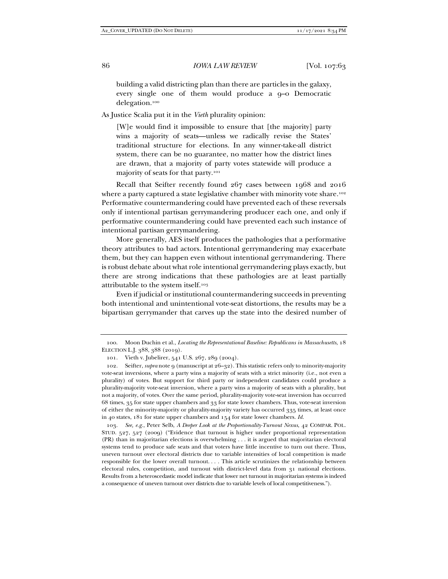building a valid districting plan than there are particles in the galaxy, every single one of them would produce a 9–0 Democratic delegation.100

As Justice Scalia put it in the *Vieth* plurality opinion:

[W]e would find it impossible to ensure that [the majority] party wins a majority of seats—unless we radically revise the States' traditional structure for elections. In any winner-take-all district system, there can be no guarantee, no matter how the district lines are drawn, that a majority of party votes statewide will produce a majority of seats for that party.101

Recall that Seifter recently found 267 cases between 1968 and 2016 where a party captured a state legislative chamber with minority vote share.<sup>102</sup> Performative countermandering could have prevented each of these reversals only if intentional partisan gerrymandering producer each one, and only if performative countermandering could have prevented each such instance of intentional partisan gerrymandering.

More generally, AES itself produces the pathologies that a performative theory attributes to bad actors. Intentional gerrymandering may exacerbate them, but they can happen even without intentional gerrymandering. There is robust debate about what role intentional gerrymandering plays exactly, but there are strong indications that these pathologies are at least partially attributable to the system itself.103

Even if judicial or institutional countermandering succeeds in preventing both intentional and unintentional vote-seat distortions, the results may be a bipartisan gerrymander that carves up the state into the desired number of

 <sup>100.</sup> Moon Duchin et al., *Locating the Representational Baseline: Republicans in Massachusetts*, 18 ELECTION L.J. 388, 388 (2019).

 <sup>101.</sup> Vieth v. Jubelirer, 541 U.S. 267, 289 (2004).

 <sup>102.</sup> Seifter, *supra* note 9 (manuscript at 26–32). This statistic refers only to minority-majority vote-seat inversions, where a party wins a majority of seats with a strict minority (i.e., not even a plurality) of votes. But support for third party or independent candidates could produce a plurality-majority vote-seat inversion, where a party wins a majority of seats with a plurality, but not a majority, of votes. Over the same period, plurality-majority vote-seat inversion has occurred 68 times, 35 for state upper chambers and 33 for state lower chambers. Thus, vote-seat inversion of either the minority-majority or plurality-majority variety has occurred 335 times, at least once in 40 states, 181 for state upper chambers and 154 for state lower chambers. *Id.*

 <sup>103.</sup> *See, e.g.*, Peter Selb, *A Deeper Look at the Proportionality-Turnout Nexus*, 42 COMPAR. POL. STUD. 527, 527 (2009) ("Evidence that turnout is higher under proportional representation (PR) than in majoritarian elections is overwhelming . . . it is argued that majoritarian electoral systems tend to produce safe seats and that voters have little incentive to turn out there. Thus, uneven turnout over electoral districts due to variable intensities of local competition is made responsible for the lower overall turnout. . . . This article scrutinizes the relationship between electoral rules, competition, and turnout with district-level data from 31 national elections. Results from a heteroscedastic model indicate that lower net turnout in majoritarian systems is indeed a consequence of uneven turnout over districts due to variable levels of local competitiveness.").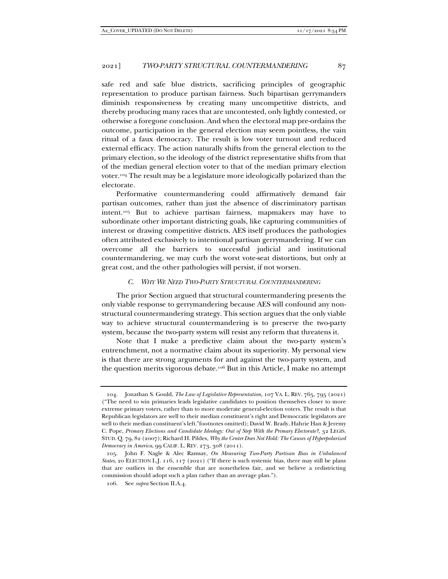safe red and safe blue districts, sacrificing principles of geographic representation to produce partisan fairness. Such bipartisan gerrymanders diminish responsiveness by creating many uncompetitive districts, and thereby producing many races that are uncontested, only lightly contested, or otherwise a foregone conclusion. And when the electoral map pre-ordains the outcome, participation in the general election may seem pointless, the vain ritual of a faux democracy. The result is low voter turnout and reduced external efficacy. The action naturally shifts from the general election to the primary election, so the ideology of the district representative shifts from that of the median general election voter to that of the median primary election voter.104 The result may be a legislature more ideologically polarized than the electorate.

Performative countermandering could affirmatively demand fair partisan outcomes, rather than just the absence of discriminatory partisan intent.105 But to achieve partisan fairness, mapmakers may have to subordinate other important districting goals, like capturing communities of interest or drawing competitive districts. AES itself produces the pathologies often attributed exclusively to intentional partisan gerrymandering. If we can overcome all the barriers to successful judicial and institutional countermandering, we may curb the worst vote-seat distortions, but only at great cost, and the other pathologies will persist, if not worsen.

#### *C. WHY WE NEED TWO-PARTY STRUCTURAL COUNTERMANDERING*

The prior Section argued that structural countermandering presents the only viable response to gerrymandering because AES will confound any nonstructural countermandering strategy. This section argues that the only viable way to achieve structural countermandering is to preserve the two-party system, because the two-party system will resist any reform that threatens it.

Note that I make a predictive claim about the two-party system's entrenchment, not a normative claim about its superiority. My personal view is that there are strong arguments for and against the two-party system, and the question merits vigorous debate.106 But in this Article, I make no attempt

 <sup>104.</sup> Jonathan S. Gould, *The Law of Legislative Representation*, 107 VA. L. REV. 765, 795 (2021) ("The need to win primaries leads legislative candidates to position themselves closer to more extreme primary voters, rather than to more moderate general-election voters. The result is that Republican legislators are well to their median constituent's right and Democratic legislators are well to their median constituent's left."footnotes omitted); David W. Brady, Hahrie Han & Jeremy C. Pope, *Primary Elections and Candidate Ideology: Out of Step With the Primary Electorate?*, 32 LEGIS. STUD. Q. 79, 82 (2007); Richard H. Pildes, *Why the Center Does Not Hold: The Causes of Hyperpolarized Democracy in America*, 99 CALIF. L. REV. 273, 308 (2011).

 <sup>105.</sup> John F. Nagle & Alec Ramsay, *On Measuring Two-Party Partisan Bias in Unbalanced States*, 20 ELECTION L.J. 116, 117 (2021) ("If there is such systemic bias, there may still be plans that are outliers in the ensemble that are nonetheless fair, and we believe a redistricting commission should adopt such a plan rather than an average plan.").

 <sup>106.</sup> See *supra* Section II.A.4.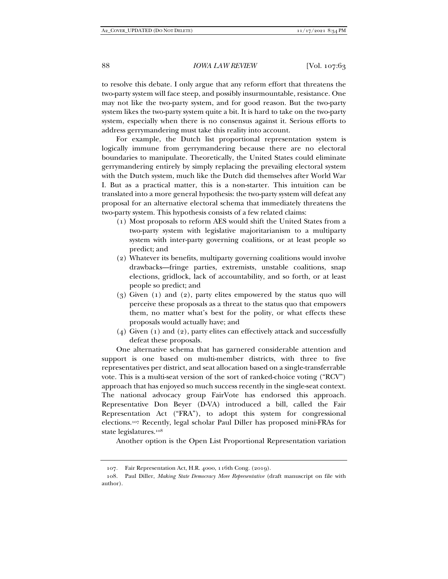to resolve this debate. I only argue that any reform effort that threatens the two-party system will face steep, and possibly insurmountable, resistance. One may not like the two-party system, and for good reason. But the two-party system likes the two-party system quite a bit. It is hard to take on the two-party system, especially when there is no consensus against it. Serious efforts to address gerrymandering must take this reality into account.

For example, the Dutch list proportional representation system is logically immune from gerrymandering because there are no electoral boundaries to manipulate. Theoretically, the United States could eliminate gerrymandering entirely by simply replacing the prevailing electoral system with the Dutch system, much like the Dutch did themselves after World War I. But as a practical matter, this is a non-starter. This intuition can be translated into a more general hypothesis: the two-party system will defeat any proposal for an alternative electoral schema that immediately threatens the two-party system. This hypothesis consists of a few related claims:

- (1) Most proposals to reform AES would shift the United States from a two-party system with legislative majoritarianism to a multiparty system with inter-party governing coalitions, or at least people so predict; and
- (2) Whatever its benefits, multiparty governing coalitions would involve drawbacks—fringe parties, extremists, unstable coalitions, snap elections, gridlock, lack of accountability, and so forth, or at least people so predict; and
- (3) Given (1) and (2), party elites empowered by the status quo will perceive these proposals as a threat to the status quo that empowers them, no matter what's best for the polity, or what effects these proposals would actually have; and
- (4) Given (1) and (2), party elites can effectively attack and successfully defeat these proposals.

One alternative schema that has garnered considerable attention and support is one based on multi-member districts, with three to five representatives per district, and seat allocation based on a single-transferrable vote. This is a multi-seat version of the sort of ranked-choice voting ("RCV") approach that has enjoyed so much success recently in the single-seat context. The national advocacy group FairVote has endorsed this approach. Representative Don Beyer (D-VA) introduced a bill, called the Fair Representation Act ("FRA"), to adopt this system for congressional elections.107 Recently, legal scholar Paul Diller has proposed mini-FRAs for state legislatures.108

Another option is the Open List Proportional Representation variation

 <sup>107.</sup> Fair Representation Act, H.R. 4000, 116th Cong. (2019).

 <sup>108.</sup> Paul Diller, *Making State Democracy More Representative* (draft manuscript on file with author).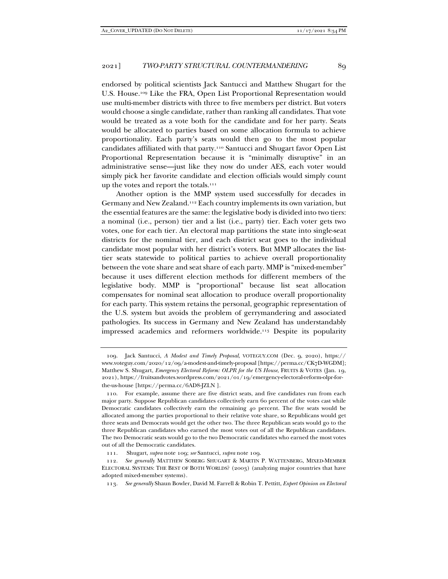endorsed by political scientists Jack Santucci and Matthew Shugart for the U.S. House.109 Like the FRA, Open List Proportional Representation would use multi-member districts with three to five members per district. But voters would choose a single candidate, rather than ranking all candidates. That vote would be treated as a vote both for the candidate and for her party. Seats would be allocated to parties based on some allocation formula to achieve proportionality. Each party's seats would then go to the most popular candidates affiliated with that party.110 Santucci and Shugart favor Open List Proportional Representation because it is "minimally disruptive" in an administrative sense—just like they now do under AES, each voter would simply pick her favorite candidate and election officials would simply count up the votes and report the totals.111

Another option is the MMP system used successfully for decades in Germany and New Zealand.112 Each country implements its own variation, but the essential features are the same: the legislative body is divided into two tiers: a nominal (i.e., person) tier and a list (i.e., party) tier. Each voter gets two votes, one for each tier. An electoral map partitions the state into single-seat districts for the nominal tier, and each district seat goes to the individual candidate most popular with her district's voters. But MMP allocates the listtier seats statewide to political parties to achieve overall proportionality between the vote share and seat share of each party. MMP is "mixed-member" because it uses different election methods for different members of the legislative body. MMP is "proportional" because list seat allocation compensates for nominal seat allocation to produce overall proportionality for each party. This system retains the personal, geographic representation of the U.S. system but avoids the problem of gerrymandering and associated pathologies. Its success in Germany and New Zealand has understandably impressed academics and reformers worldwide.113 Despite its popularity

 <sup>109.</sup> Jack Santucci, *A Modest and Timely Proposal*, VOTEGUY.COM (Dec. 9, 2020), https:// www.voteguy.com/2020/12/09/a-modest-and-timely-proposal [https://perma.cc/CK7D-WGDM]; Matthew S. Shugart, *Emergency Electoral Reform: OLPR for the US House*, FRUITS & VOTES (Jan. 19, 2021), https://fruitsandvotes.wordpress.com/2021/01/19/emergency-electoral-reform-olpr-forthe-us-house [https://perma.cc/6AD8-JZLN ].

 <sup>110.</sup> For example, assume there are five district seats, and five candidates run from each major party. Suppose Republican candidates collectively earn 60 percent of the votes cast while Democratic candidates collectively earn the remaining 40 percent. The five seats would be allocated among the parties proportional to their relative vote share, so Republicans would get three seats and Democrats would get the other two. The three Republican seats would go to the three Republican candidates who earned the most votes out of all the Republican candidates. The two Democratic seats would go to the two Democratic candidates who earned the most votes out of all the Democratic candidates.

 <sup>111.</sup> Shugart, *supra* note 109; *see* Santucci, *supra* note 109.

 <sup>112.</sup> *See generally* MATTHEW SOBERG SHUGART & MARTIN P. WATTENBERG, MIXED-MEMBER ELECTORAL SYSTEMS: THE BEST OF BOTH WORLDS? (2003) (analyzing major countries that have adopted mixed-member systems).

 <sup>113.</sup> *See generally* Shaun Bowler, David M. Farrell & Robin T. Pettitt, *Expert Opinion on Electoral*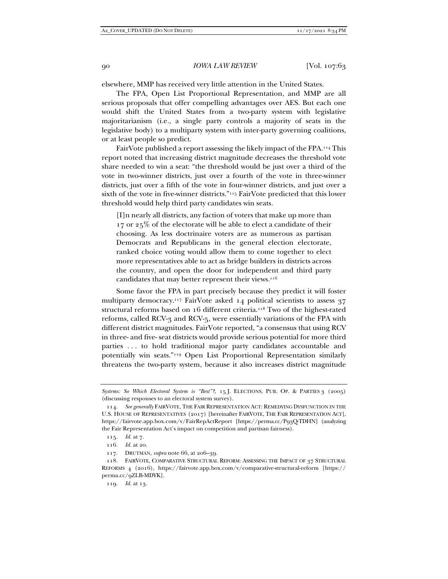elsewhere, MMP has received very little attention in the United States.

The FPA, Open List Proportional Representation, and MMP are all serious proposals that offer compelling advantages over AES. But each one would shift the United States from a two-party system with legislative majoritarianism (i.e., a single party controls a majority of seats in the legislative body) to a multiparty system with inter-party governing coalitions, or at least people so predict.

FairVote published a report assessing the likely impact of the FPA.114 This report noted that increasing district magnitude decreases the threshold vote share needed to win a seat: "the threshold would be just over a third of the vote in two-winner districts, just over a fourth of the vote in three-winner districts, just over a fifth of the vote in four-winner districts, and just over a sixth of the vote in five-winner districts."115 FairVote predicted that this lower threshold would help third party candidates win seats.

[I]n nearly all districts, any faction of voters that make up more than 17 or 25% of the electorate will be able to elect a candidate of their choosing. As less doctrinaire voters are as numerous as partisan Democrats and Republicans in the general election electorate, ranked choice voting would allow them to come together to elect more representatives able to act as bridge builders in districts across the country, and open the door for independent and third party candidates that may better represent their views.116

Some favor the FPA in part precisely because they predict it will foster multiparty democracy.<sup>117</sup> FairVote asked 14 political scientists to assess 37 structural reforms based on 16 different criteria.<sup>118</sup> Two of the highest-rated reforms, called RCV-3 and RCV-5, were essentially variations of the FPA with different district magnitudes. FairVote reported, "a consensus that using RCV in three- and five- seat districts would provide serious potential for more third parties . . . to hold traditional major party candidates accountable and potentially win seats."119 Open List Proportional Representation similarly threatens the two-party system, because it also increases district magnitude

*Systems: So Which Electoral System is "Best"?*, 15 J. ELECTIONS, PUB. OP. & PARTIES 3 (2005) (discussing responses to an electoral system survey).

 <sup>114.</sup> *See generally* FAIRVOTE, THE FAIR REPRESENTATION ACT: REMEDYING DYSFUNCTION IN THE U.S. HOUSE OF REPRESENTATIVES (2017) [hereinafter FAIRVOTE, THE FAIR REPRESENTATION ACT], https://fairvote.app.box.com/v/FairRepActReport [https://perma.cc/P93Q-TDHN] (analyzing the Fair Representation Act's impact on competition and partisan fairness).

 <sup>115.</sup> *Id.* at 7.

 <sup>116.</sup> *Id.* at 20.

 <sup>117.</sup> DRUTMAN, *supra* note 66, at 206–39.

 <sup>118.</sup> FAIRVOTE, COMPARATIVE STRUCTURAL REFORM: ASSESSING THE IMPACT OF 37 STRUCTURAL REFORMS 4 (2016), https://fairvote.app.box.com/v/comparative-structural-reform [https:// perma.cc/9ZLB-MDYK].

 <sup>119.</sup> *Id.* at 13.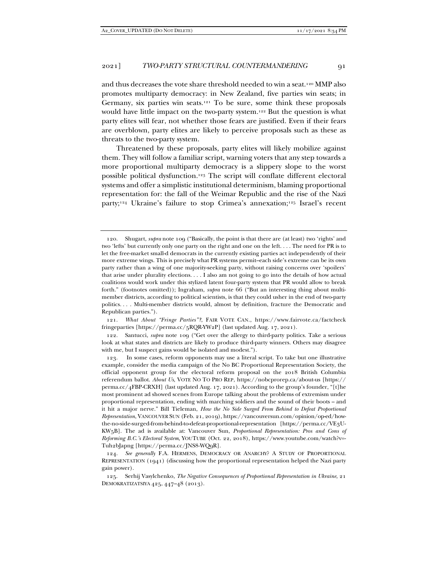and thus decreases the vote share threshold needed to win a seat.120 MMP also promotes multiparty democracy: in New Zealand, five parties win seats; in Germany, six parties win seats.121 To be sure, some think these proposals would have little impact on the two-party system.122 But the question is what party elites will fear, not whether those fears are justified. Even if their fears are overblown, party elites are likely to perceive proposals such as these as threats to the two-party system.

Threatened by these proposals, party elites will likely mobilize against them. They will follow a familiar script, warning voters that any step towards a more proportional multiparty democracy is a slippery slope to the worst possible political dysfunction.123 The script will conflate different electoral systems and offer a simplistic institutional determinism, blaming proportional representation for: the fall of the Weimar Republic and the rise of the Nazi party;<sup>124</sup> Ukraine's failure to stop Crimea's annexation;<sup>125</sup> Israel's recent

 121. *What About "Fringe Parties"?*, FAIR VOTE CAN., https://www.fairvote.ca/factcheck fringeparties [https://perma.cc/5RQR-YW2P] (last updated Aug. 17, 2021).

 122. Santucci, *supra* note 109 ("Get over the allergy to third-party politics. Take a serious look at what states and districts are likely to produce third-party winners. Others may disagree with me, but I suspect gains would be isolated and modest.").

 124. *See generally* F.A. HERMENS, DEMOCRACY OR ANARCHY? A STUDY OF PROPORTIONAL REPRESENTATION (1941) (discussing how the proportional representation helped the Nazi party gain power).

 <sup>120.</sup> Shugart, *supra* note 109 ("Basically, the point is that there are (at least) two 'rights' and two 'lefts' but currently only one party on the right and one on the left. . . . The need for PR is to let the free-market small-d democrats in the currently existing parties act independently of their more extreme wings. This is precisely what PR systems permit–each side's extreme can be its own party rather than a wing of one majority-seeking party, without raising concerns over 'spoilers' that arise under plurality elections. . . . I also am not going to go into the details of how actual coalitions would work under this stylized latent four-party system that PR would allow to break forth." (footnotes omitted)); Ingraham, *supra* note 66 ("But an interesting thing about multimember districts, according to political scientists, is that they could usher in the end of two-party politics. . . . Multi-member districts would, almost by definition, fracture the Democratic and Republican parties.").

 <sup>123.</sup> In some cases, reform opponents may use a literal script. To take but one illustrative example, consider the media campaign of the No BC Proportional Representation Society, the official opponent group for the electoral reform proposal on the 2018 British Columbia referendum ballot. *About Us*, VOTE NO TO PRO REP, https://nobcprorep.ca/about-us [https:// perma.cc/4FBP-CRXH] (last updated Aug. 17, 2021). According to the group's founder, "[t]he most prominent ad showed scenes from Europe talking about the problems of extremism under proportional representation, ending with marching soldiers and the sound of their boots – and it hit a major nerve." Bill Tieleman, *How the No Side Surged From Behind to Defeat Proportional Representation*, VANCOUVER SUN (Feb. 21, 2019), https://vancouversun.com/opinion/op-ed/howthe-no-side-surged-from-behind-to-defeat-proportional-representation [https://perma.cc/VE3U-KW5B]. The ad is available at: Vancouver Sun, *Proportional Representation: Pros and Cons of Reforming B.C.'s Electoral System*, YOUTUBE (Oct. 22, 2018), https://www.youtube.com/watch?v=- Tuh2bJapng [https://perma.cc/JNS8-WQ9R].

 <sup>125.</sup> Serhij Vasylchenko, *The Negative Consequences of Proportional Representation in Ukraine*, 21 DEMOKRATIZATSIYA 425, 447–48 (2013).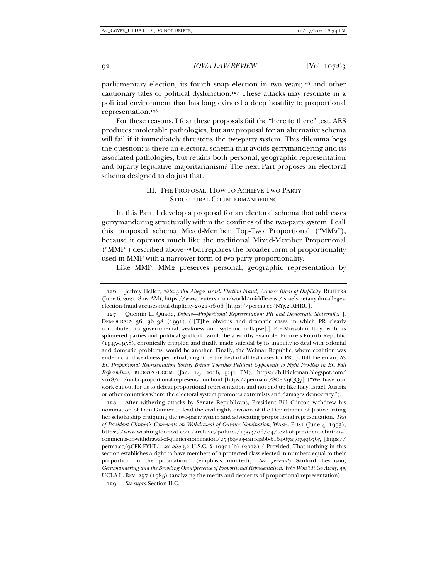parliamentary election, its fourth snap election in two years;126 and other cautionary tales of political dysfunction.127 These attacks may resonate in a political environment that has long evinced a deep hostility to proportional representation.128

For these reasons, I fear these proposals fail the "here to there" test. AES produces intolerable pathologies, but any proposal for an alternative schema will fail if it immediately threatens the two-party system. This dilemma begs the question: is there an electoral schema that avoids gerrymandering and its associated pathologies, but retains both personal, geographic representation and biparty legislative majoritarianism? The next Part proposes an electoral schema designed to do just that.

#### III. THE PROPOSAL: HOW TO ACHIEVE TWO-PARTY STRUCTURAL COUNTERMANDERING

In this Part, I develop a proposal for an electoral schema that addresses gerrymandering structurally within the confines of the two-party system. I call this proposed schema Mixed-Member Top-Two Proportional ("MM2"), because it operates much like the traditional Mixed-Member Proportional ("MMP") described above129 but replaces the broader form of proportionality used in MMP with a narrower form of two-party proportionality.

Like MMP, MM2 preserves personal, geographic representation by

 128. After withering attacks by Senate Republicans, President Bill Clinton withdrew his nomination of Lani Guinier to lead the civil rights division of the Department of Justice, citing her scholarship critiquing the two-party system and advocating proportional representation. *Text of President Clinton's Comments on Withdrawal of Guinier Nomination*, WASH. POST (June 4, 1993), https://www.washingtonpost.com/archive/politics/1993/06/04/text-of-president-clintonscomments-on-withdrawal-of-guinier-nomination/253b93a3-ca1f-4a6b-b164-67a30749b765 [https:// perma.cc/9CFK-FYHL]; *see also* 52 U.S.C. § 10301(b) (2018) ("Provided, That nothing in this section establishes a right to have members of a protected class elected in numbers equal to their proportion in the population." (emphasis omitted))*. See generally* Sanford Levinson, *Gerrymandering and the Brooding Omnipresence of Proportional Representation: Why Won't It Go Away*, 33 UCLA L. REV. 257 (1985) (analyzing the merits and demerits of proportional representation).

129*. See supra* Section II.C.

 <sup>126.</sup> Jeffrey Heller, *Netanyahu Alleges Israeli Election Fraud, Accuses Rival of Duplicity*, REUTERS (June 6, 2021, 8:02 AM), https://www.reuters.com/world/middle-east/israels-netanyahu-allegeselection-fraud-accuses-rival-duplicity-2021-06-06 [https://perma.cc/NY52-RHRU].

 <sup>127.</sup> Quentin L. Quade, *Debate—Proportional Representation: PR and Democratic Statecraft*,2 J. DEMOCRACY  $36$ ,  $36-38$  (1991) ("[T]he obvious and dramatic cases in which PR clearly contributed to governmental weakness and systemic collapse[:] Pre-Mussolini Italy, with its splintered parties and political gridlock, would be a worthy example. France's Fourth Republic (1945-1958), chronically crippled and finally made suicidal by its inability to deal with colonial and domestic problems, would be another. Finally, the Weimar Republic, where coalition was endemic and weakness perpetual, might be the best of all test cases for PR."); Bill Tieleman, *No BC Proportional Representation Society Brings Together Political Opponents to Fight Pro-Rep in BC Fall Referendum*, BLOGSPOT.COM (Jan. 14, 2018, 5:41 PM), https://billtieleman.blogspot.com/ 2018/01/no-bc-proportional-representation.html [https://perma.cc/8CFB-9QQ7] ("We have our work cut out for us to defeat proportional representation and not end up like Italy, Israel, Austria or other countries where the electoral system promotes extremists and damages democracy.").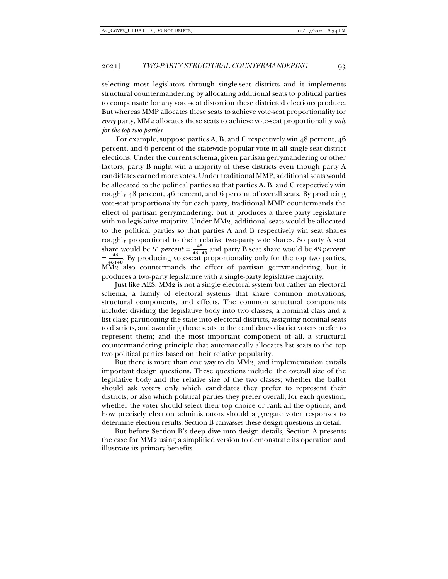selecting most legislators through single-seat districts and it implements structural countermandering by allocating additional seats to political parties to compensate for any vote-seat distortion these districted elections produce. But whereas MMP allocates these seats to achieve vote-seat proportionality for *every* party, MM2 allocates these seats to achieve vote-seat proportionality *only for the top two parties*.

For example, suppose parties A, B, and C respectively win 48 percent, 46 percent, and 6 percent of the statewide popular vote in all single-seat district elections. Under the current schema, given partisan gerrymandering or other factors, party B might win a majority of these districts even though party A candidates earned more votes. Under traditional MMP, additional seats would be allocated to the political parties so that parties A, B, and C respectively win roughly 48 percent, 46 percent, and 6 percent of overall seats. By producing vote-seat proportionality for each party, traditional MMP countermands the effect of partisan gerrymandering, but it produces a three-party legislature with no legislative majority. Under MM2, additional seats would be allocated to the political parties so that parties A and B respectively win seat shares roughly proportional to their relative two-party vote shares. So party A seat share would be 51 *percent* =  $\frac{48}{46+48}$  and party B seat share would be 49 *percent*  $=\frac{46}{46+48}$ . By producing vote-seat proportionality only for the top two parties, MM2 also countermands the effect of partisan gerrymandering, but it produces a two-party legislature with a single-party legislative majority.

Just like AES, MM2 is not a single electoral system but rather an electoral schema, a family of electoral systems that share common motivations, structural components, and effects. The common structural components include: dividing the legislative body into two classes, a nominal class and a list class; partitioning the state into electoral districts, assigning nominal seats to districts, and awarding those seats to the candidates district voters prefer to represent them; and the most important component of all, a structural countermandering principle that automatically allocates list seats to the top two political parties based on their relative popularity.

But there is more than one way to do MM2, and implementation entails important design questions. These questions include: the overall size of the legislative body and the relative size of the two classes; whether the ballot should ask voters only which candidates they prefer to represent their districts, or also which political parties they prefer overall; for each question, whether the voter should select their top choice or rank all the options; and how precisely election administrators should aggregate voter responses to determine election results. Section B canvasses these design questions in detail.

But before Section B's deep dive into design details, Section A presents the case for MM2 using a simplified version to demonstrate its operation and illustrate its primary benefits.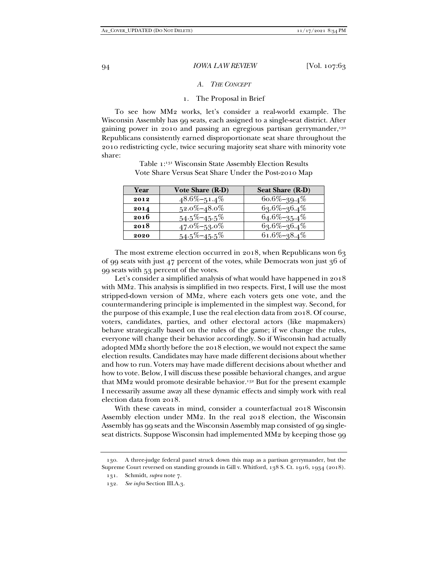#### *A. THE CONCEPT*

#### 1. The Proposal in Brief

To see how MM2 works, let's consider a real-world example. The Wisconsin Assembly has 99 seats, each assigned to a single-seat district. After gaining power in 2010 and passing an egregious partisan gerrymander,<sup>130</sup> Republicans consistently earned disproportionate seat share throughout the 2010 redistricting cycle, twice securing majority seat share with minority vote share:

| Year | Vote Share (R-D)  | <b>Seat Share (R-D)</b> |
|------|-------------------|-------------------------|
| 2012 | $48.6\% - 51.4\%$ | $60.6\% - 39.4\%$       |
| 2014 | $52.0\% - 48.0\%$ | 63.6%-36.4%             |
| 2016 | $54.5\% - 45.5\%$ | $64.6\% - 35.4\%$       |
| 2018 | $47.0\% - 53.0\%$ | 63.6%-36.4%             |
| 2020 | $54.5\% - 45.5\%$ | $61.6\% - 38.4\%$       |

Table 1:131 Wisconsin State Assembly Election Results Vote Share Versus Seat Share Under the Post-2010 Map

The most extreme election occurred in 2018, when Republicans won 63 of 99 seats with just 47 percent of the votes, while Democrats won just 36 of 99 seats with 53 percent of the votes.

Let's consider a simplified analysis of what would have happened in 2018 with MM2. This analysis is simplified in two respects. First, I will use the most stripped-down version of MM2, where each voters gets one vote, and the countermandering principle is implemented in the simplest way. Second, for the purpose of this example, I use the real election data from 2018. Of course, voters, candidates, parties, and other electoral actors (like mapmakers) behave strategically based on the rules of the game; if we change the rules, everyone will change their behavior accordingly. So if Wisconsin had actually adopted MM2 shortly before the 2018 election, we would not expect the same election results. Candidates may have made different decisions about whether and how to run. Voters may have made different decisions about whether and how to vote. Below, I will discuss these possible behavioral changes, and argue that MM<sub>2</sub> would promote desirable behavior.<sup>132</sup> But for the present example I necessarily assume away all these dynamic effects and simply work with real election data from 2018.

With these caveats in mind, consider a counterfactual 2018 Wisconsin Assembly election under MM2. In the real 2018 election, the Wisconsin Assembly has 99 seats and the Wisconsin Assembly map consisted of 99 singleseat districts. Suppose Wisconsin had implemented MM2 by keeping those 99

 <sup>130.</sup> A three-judge federal panel struck down this map as a partisan gerrymander, but the Supreme Court reversed on standing grounds in Gill v. Whitford, 138 S. Ct. 1916, 1934 (2018).

 <sup>131.</sup> Schmidt, *supra* note 7.

 <sup>132.</sup> *See infra* Section III.A.3.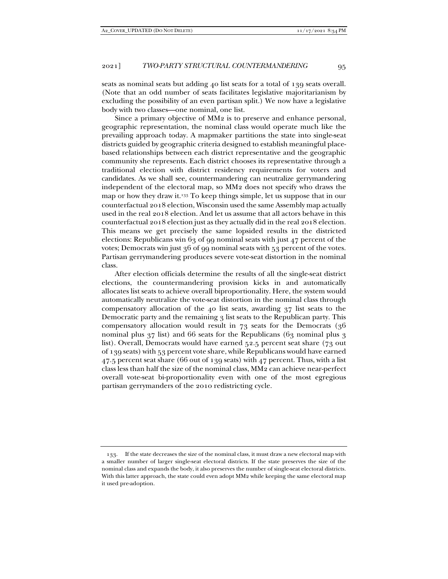seats as nominal seats but adding 40 list seats for a total of 139 seats overall. (Note that an odd number of seats facilitates legislative majoritarianism by excluding the possibility of an even partisan split.) We now have a legislative body with two classes—one nominal, one list.

Since a primary objective of MM2 is to preserve and enhance personal, geographic representation, the nominal class would operate much like the prevailing approach today. A mapmaker partitions the state into single-seat districts guided by geographic criteria designed to establish meaningful placebased relationships between each district representative and the geographic community she represents. Each district chooses its representative through a traditional election with district residency requirements for voters and candidates. As we shall see, countermandering can neutralize gerrymandering independent of the electoral map, so MM2 does not specify who draws the map or how they draw it.133 To keep things simple, let us suppose that in our counterfactual 2018 election, Wisconsin used the same Assembly map actually used in the real 2018 election. And let us assume that all actors behave in this counterfactual 2018 election just as they actually did in the real 2018 election. This means we get precisely the same lopsided results in the districted elections: Republicans win 63 of 99 nominal seats with just  $47$  percent of the votes; Democrats win just 36 of 99 nominal seats with 53 percent of the votes. Partisan gerrymandering produces severe vote-seat distortion in the nominal class.

After election officials determine the results of all the single-seat district elections, the countermandering provision kicks in and automatically allocates list seats to achieve overall biproportionality. Here, the system would automatically neutralize the vote-seat distortion in the nominal class through compensatory allocation of the 40 list seats, awarding 37 list seats to the Democratic party and the remaining 3 list seats to the Republican party. This compensatory allocation would result in 73 seats for the Democrats (36 nominal plus  $37$  list) and 66 seats for the Republicans (63 nominal plus 3 list). Overall, Democrats would have earned 52.5 percent seat share (73 out of 139 seats) with 53 percent vote share, while Republicans would have earned 47.5 percent seat share (66 out of 139 seats) with 47 percent. Thus, with a list class less than half the size of the nominal class, MM2 can achieve near-perfect overall vote-seat bi-proportionality even with one of the most egregious partisan gerrymanders of the 2010 redistricting cycle.

 <sup>133.</sup> If the state decreases the size of the nominal class, it must draw a new electoral map with a smaller number of larger single-seat electoral districts. If the state preserves the size of the nominal class and expands the body, it also preserves the number of single-seat electoral districts. With this latter approach, the state could even adopt MM2 while keeping the same electoral map it used pre-adoption.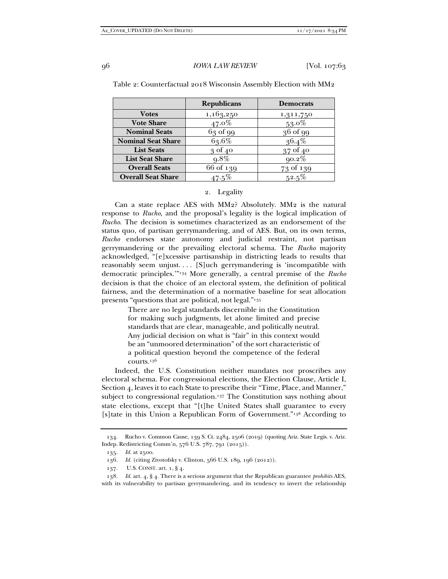|                           | <b>Republicans</b> | <b>Democrats</b> |
|---------------------------|--------------------|------------------|
| <b>Votes</b>              | 1,163,250          | 1,311,750        |
| <b>Vote Share</b>         | $47.0\%$           | $53.0\%$         |
| <b>Nominal Seats</b>      | $63$ of 99         | $36$ of 99       |
| <b>Nominal Seat Share</b> | 63.6%              | $36.4\%$         |
| <b>List Seats</b>         | $30f$ 40           | 37 of 40         |
| <b>List Seat Share</b>    | $9.8\%$            | $90.2\%$         |
| <b>Overall Seats</b>      | 66 of 139          | 73 of 139        |
| <b>Overall Seat Share</b> |                    | $52.5\%$         |

Table 2: Counterfactual 2018 Wisconsin Assembly Election with MM2

#### 2. Legality

Can a state replace AES with MM2? Absolutely. MM2 is the natural response to *Rucho*, and the proposal's legality is the logical implication of *Rucho*. The decision is sometimes characterized as an endorsement of the status quo, of partisan gerrymandering, and of AES. But, on its own terms, *Rucho* endorses state autonomy and judicial restraint, not partisan gerrymandering or the prevailing electoral schema. The *Rucho* majority acknowledged, "[e]xcessive partisanship in districting leads to results that reasonably seem unjust.... [S]uch gerrymandering is 'incompatible with democratic principles.'"134 More generally, a central premise of the *Rucho* decision is that the choice of an electoral system, the definition of political fairness, and the determination of a normative baseline for seat allocation presents "questions that are political, not legal."135

> There are no legal standards discernible in the Constitution for making such judgments, let alone limited and precise standards that are clear, manageable, and politically neutral. Any judicial decision on what is "fair" in this context would be an "unmoored determination" of the sort characteristic of a political question beyond the competence of the federal courts.136

Indeed, the U.S. Constitution neither mandates nor proscribes any electoral schema. For congressional elections, the Election Clause, Article I, Section 4, leaves it to each State to prescribe their "Time, Place, and Manner," subject to congressional regulation.<sup>137</sup> The Constitution says nothing about state elections, except that "[t]he United States shall guarantee to every [s]tate in this Union a Republican Form of Government."<sup>138</sup> According to

 <sup>134.</sup> Rucho v. Common Cause, 139 S. Ct. 2484, 2506 (2019) (quoting Ariz. State Legis. v. Ariz. Indep. Redistricting Comm'n, 576 U.S. 787, 791 (2015)).

 <sup>135.</sup> *Id.* at 2500.

 <sup>136.</sup> *Id.* (citing Zivotofsky v. Clinton, 566 U.S. 189, 196 (2012)).

 <sup>137.</sup> U.S. CONST. art. 1, § 4.

 <sup>138.</sup> *Id.* art. 4, § 4. There is a serious argument that the Republican guarantee *prohibits* AES, with its vulnerability to partisan gerrymandering, and its tendency to invert the relationship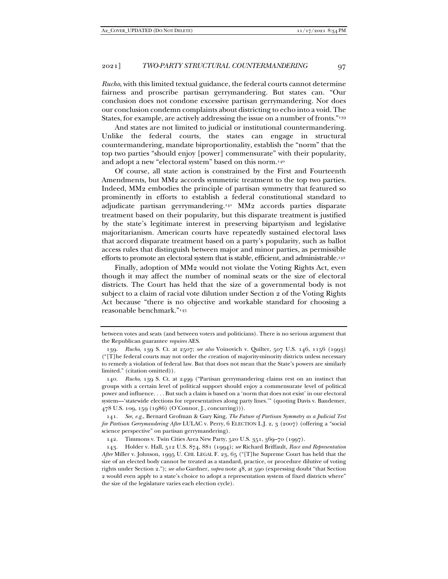*Rucho*, with this limited textual guidance, the federal courts cannot determine fairness and proscribe partisan gerrymandering. But states can. "Our conclusion does not condone excessive partisan gerrymandering. Nor does our conclusion condemn complaints about districting to echo into a void. The States, for example, are actively addressing the issue on a number of fronts."139

And states are not limited to judicial or institutional countermandering. Unlike the federal courts, the states can engage in structural countermandering, mandate biproportionality, establish the "norm" that the top two parties "should enjoy [power] commensurate" with their popularity, and adopt a new "electoral system" based on this norm.140

Of course, all state action is constrained by the First and Fourteenth Amendments, but MM2 accords symmetric treatment to the top two parties. Indeed, MM2 embodies the principle of partisan symmetry that featured so prominently in efforts to establish a federal constitutional standard to adjudicate partisan gerrymandering.141 MM2 accords parties disparate treatment based on their popularity, but this disparate treatment is justified by the state's legitimate interest in preserving bipartyism and legislative majoritarianism. American courts have repeatedly sustained electoral laws that accord disparate treatment based on a party's popularity, such as ballot access rules that distinguish between major and minor parties, as permissible efforts to promote an electoral system that is stable, efficient, and administrable.<sup>142</sup>

Finally, adoption of MM2 would not violate the Voting Rights Act, even though it may affect the number of nominal seats or the size of electoral districts. The Court has held that the size of a governmental body is not subject to a claim of racial vote dilution under Section 2 of the Voting Rights Act because "there is no objective and workable standard for choosing a reasonable benchmark."143

between votes and seats (and between voters and politicians). There is no serious argument that the Republican guarantee *requires* AES.

 <sup>139.</sup> *Rucho*, 139 S. Ct. at 2507; *see also* Voinovich v. Quilter, 507 U.S. 146, 1156 (1993) ("[T]he federal courts may not order the creation of majority-minority districts unless necessary to remedy a violation of federal law. But that does not mean that the State's powers are similarly limited." (citation omitted)).

 <sup>140.</sup> *Rucho*, 139 S. Ct. at 2499 ("Partisan gerrymandering claims rest on an instinct that groups with a certain level of political support should enjoy a commensurate level of political power and influence. . . . But such a claim is based on a 'norm that does not exist' in our electoral system—'statewide elections for representatives along party lines.'" (quoting Davis v. Bandemer, 478 U.S. 109, 159 (1986) (O'Connor, J., concurring))).

 <sup>141.</sup> *See, e.g.*, Bernard Grofman & Gary King, *The Future of Partisan Symmetry as a Judicial Test for Partisan Gerrymandering After* LULAC v. Perry, 6 ELECTION L.J. 2, 3 (2007) (offering a "social science perspective" on partisan gerrymandering).

 <sup>142.</sup> Timmons v. Twin Cities Area New Party, 520 U.S. 351, 369–70 (1997).

 <sup>143.</sup> Holder v. Hall, 512 U.S. 874, 881 (1994); *see* Richard Briffault, *Race and Representation After* Miller v. Johnson, 1995 U. CHI. LEGAL F. 23, 65 ("[T]he Supreme Court has held that the size of an elected body cannot be treated as a standard, practice, or procedure dilutive of voting rights under Section 2."); *see also* Gardner, *supra* note 48, at 590 (expressing doubt "that Section 2 would even apply to a state's choice to adopt a representation system of fixed districts where" the size of the legislature varies each election cycle).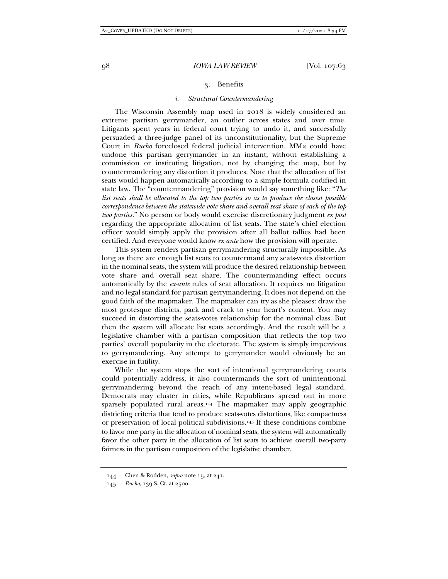#### 3. Benefits

#### *i. Structural Countermandering*

The Wisconsin Assembly map used in 2018 is widely considered an extreme partisan gerrymander, an outlier across states and over time. Litigants spent years in federal court trying to undo it, and successfully persuaded a three-judge panel of its unconstitutionality, but the Supreme Court in *Rucho* foreclosed federal judicial intervention. MM2 could have undone this partisan gerrymander in an instant, without establishing a commission or instituting litigation, not by changing the map, but by countermandering any distortion it produces. Note that the allocation of list seats would happen automatically according to a simple formula codified in state law. The "countermandering" provision would say something like: "*The list seats shall be allocated to the top two parties so as to produce the closest possible correspondence between the statewide vote share and overall seat share of each of the top two parties*." No person or body would exercise discretionary judgment *ex post* regarding the appropriate allocation of list seats. The state's chief election officer would simply apply the provision after all ballot tallies had been certified. And everyone would know *ex ante* how the provision will operate.

This system renders partisan gerrymandering structurally impossible. As long as there are enough list seats to countermand any seats-votes distortion in the nominal seats, the system will produce the desired relationship between vote share and overall seat share. The countermanding effect occurs automatically by the *ex-ante* rules of seat allocation. It requires no litigation and no legal standard for partisan gerrymandering. It does not depend on the good faith of the mapmaker. The mapmaker can try as she pleases: draw the most grotesque districts, pack and crack to your heart's content. You may succeed in distorting the seats-votes relationship for the nominal class. But then the system will allocate list seats accordingly. And the result will be a legislative chamber with a partisan composition that reflects the top two parties' overall popularity in the electorate. The system is simply impervious to gerrymandering. Any attempt to gerrymander would obviously be an exercise in futility.

While the system stops the sort of intentional gerrymandering courts could potentially address, it also countermands the sort of unintentional gerrymandering beyond the reach of any intent-based legal standard. Democrats may cluster in cities, while Republicans spread out in more sparsely populated rural areas.144 The mapmaker may apply geographic districting criteria that tend to produce seats-votes distortions, like compactness or preservation of local political subdivisions.145 If these conditions combine to favor one party in the allocation of nominal seats, the system will automatically favor the other party in the allocation of list seats to achieve overall two-party fairness in the partisan composition of the legislative chamber.

 <sup>144.</sup> Chen & Rodden, *supra* note 15, at 241.

<sup>145</sup>*. Rucho*, 139 S. Ct. at 2500.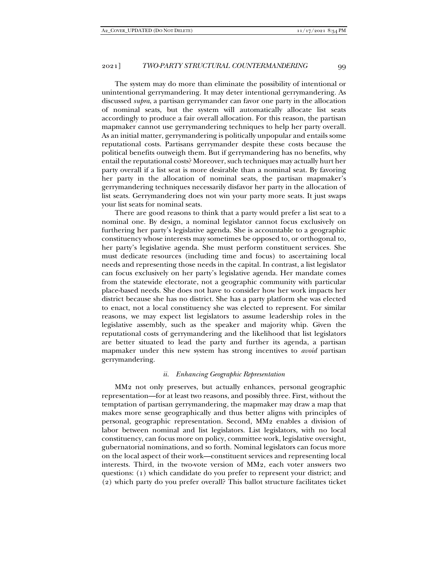The system may do more than eliminate the possibility of intentional or unintentional gerrymandering. It may deter intentional gerrymandering. As discussed *supra*, a partisan gerrymander can favor one party in the allocation of nominal seats, but the system will automatically allocate list seats accordingly to produce a fair overall allocation. For this reason, the partisan mapmaker cannot use gerrymandering techniques to help her party overall. As an initial matter, gerrymandering is politically unpopular and entails some reputational costs. Partisans gerrymander despite these costs because the political benefits outweigh them. But if gerrymandering has no benefits, why entail the reputational costs? Moreover, such techniques may actually hurt her party overall if a list seat is more desirable than a nominal seat. By favoring her party in the allocation of nominal seats, the partisan mapmaker's gerrymandering techniques necessarily disfavor her party in the allocation of list seats. Gerrymandering does not win your party more seats. It just swaps your list seats for nominal seats.

There are good reasons to think that a party would prefer a list seat to a nominal one. By design, a nominal legislator cannot focus exclusively on furthering her party's legislative agenda. She is accountable to a geographic constituency whose interests may sometimes be opposed to, or orthogonal to, her party's legislative agenda. She must perform constituent services. She must dedicate resources (including time and focus) to ascertaining local needs and representing those needs in the capital. In contrast, a list legislator can focus exclusively on her party's legislative agenda. Her mandate comes from the statewide electorate, not a geographic community with particular place-based needs. She does not have to consider how her work impacts her district because she has no district. She has a party platform she was elected to enact, not a local constituency she was elected to represent. For similar reasons, we may expect list legislators to assume leadership roles in the legislative assembly, such as the speaker and majority whip. Given the reputational costs of gerrymandering and the likelihood that list legislators are better situated to lead the party and further its agenda, a partisan mapmaker under this new system has strong incentives to *avoid* partisan gerrymandering.

#### *ii. Enhancing Geographic Representation*

MM2 not only preserves, but actually enhances, personal geographic representation—for at least two reasons, and possibly three. First, without the temptation of partisan gerrymandering, the mapmaker may draw a map that makes more sense geographically and thus better aligns with principles of personal, geographic representation. Second, MM2 enables a division of labor between nominal and list legislators. List legislators, with no local constituency, can focus more on policy, committee work, legislative oversight, gubernatorial nominations, and so forth. Nominal legislators can focus more on the local aspect of their work—constituent services and representing local interests. Third, in the two-vote version of MM2, each voter answers two questions: (1) which candidate do you prefer to represent your district; and (2) which party do you prefer overall? This ballot structure facilitates ticket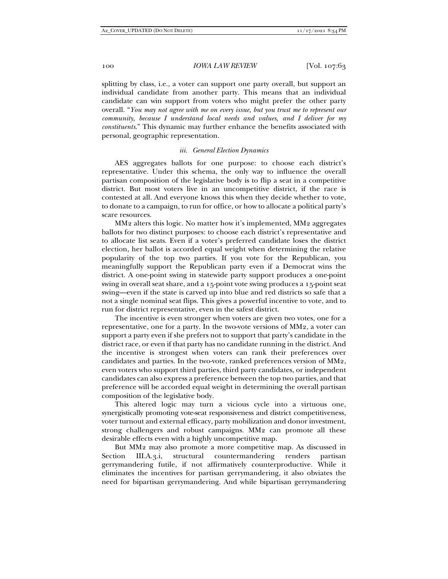splitting by class, i.e., a voter can support one party overall, but support an individual candidate from another party. This means that an individual candidate can win support from voters who might prefer the other party overall. "*You may not agree with me on every issue, but you trust me to represent our community, because I understand local needs and values, and I deliver for my constituents*." This dynamic may further enhance the benefits associated with personal, geographic representation.

#### *iii. General Election Dynamics*

AES aggregates ballots for one purpose: to choose each district's representative. Under this schema, the only way to influence the overall partisan composition of the legislative body is to flip a seat in a competitive district. But most voters live in an uncompetitive district, if the race is contested at all. And everyone knows this when they decide whether to vote, to donate to a campaign, to run for office, or how to allocate a political party's scare resources.

MM2 alters this logic. No matter how it's implemented, MM2 aggregates ballots for two distinct purposes: to choose each district's representative and to allocate list seats. Even if a voter's preferred candidate loses the district election, her ballot is accorded equal weight when determining the relative popularity of the top two parties. If you vote for the Republican, you meaningfully support the Republican party even if a Democrat wins the district. A one-point swing in statewide party support produces a one-point swing in overall seat share, and a 15-point vote swing produces a 15-point seat swing—even if the state is carved up into blue and red districts so safe that a not a single nominal seat flips. This gives a powerful incentive to vote, and to run for district representative, even in the safest district.

The incentive is even stronger when voters are given two votes, one for a representative, one for a party. In the two-vote versions of MM2, a voter can support a party even if she prefers not to support that party's candidate in the district race, or even if that party has no candidate running in the district. And the incentive is strongest when voters can rank their preferences over candidates and parties. In the two-vote, ranked preferences version of MM2, even voters who support third parties, third party candidates, or independent candidates can also express a preference between the top two parties, and that preference will be accorded equal weight in determining the overall partisan composition of the legislative body.

This altered logic may turn a vicious cycle into a virtuous one, synergistically promoting vote-seat responsiveness and district competitiveness, voter turnout and external efficacy, party mobilization and donor investment, strong challengers and robust campaigns. MM2 can promote all these desirable effects even with a highly uncompetitive map.

But MM2 may also promote a more competitive map. As discussed in Section III.A.3.i, structural countermandering renders partisan gerrymandering futile, if not affirmatively counterproductive. While it eliminates the incentives for partisan gerrymandering, it also obviates the need for bipartisan gerrymandering. And while bipartisan gerrymandering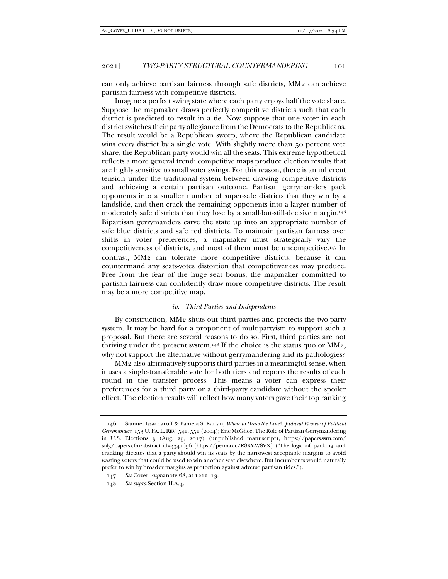can only achieve partisan fairness through safe districts, MM2 can achieve partisan fairness with competitive districts.

Imagine a perfect swing state where each party enjoys half the vote share. Suppose the mapmaker draws perfectly competitive districts such that each district is predicted to result in a tie. Now suppose that one voter in each district switches their party allegiance from the Democrats to the Republicans. The result would be a Republican sweep, where the Republican candidate wins every district by a single vote. With slightly more than 50 percent vote share, the Republican party would win all the seats. This extreme hypothetical reflects a more general trend: competitive maps produce election results that are highly sensitive to small voter swings. For this reason, there is an inherent tension under the traditional system between drawing competitive districts and achieving a certain partisan outcome. Partisan gerrymanders pack opponents into a smaller number of super-safe districts that they win by a landslide, and then crack the remaining opponents into a larger number of moderately safe districts that they lose by a small-but-still-decisive margin.146 Bipartisan gerrymanders carve the state up into an appropriate number of safe blue districts and safe red districts. To maintain partisan fairness over shifts in voter preferences, a mapmaker must strategically vary the competitiveness of districts, and most of them must be uncompetitive.147 In contrast, MM2 can tolerate more competitive districts, because it can countermand any seats-votes distortion that competitiveness may produce. Free from the fear of the huge seat bonus, the mapmaker committed to partisan fairness can confidently draw more competitive districts. The result may be a more competitive map.

#### *iv. Third Parties and Independents*

By construction, MM2 shuts out third parties and protects the two-party system. It may be hard for a proponent of multipartyism to support such a proposal. But there are several reasons to do so. First, third parties are not thriving under the present system.<sup>148</sup> If the choice is the status quo or  $MM<sub>2</sub>$ , why not support the alternative without gerrymandering and its pathologies?

MM2 also affirmatively supports third parties in a meaningful sense, when it uses a single-transferable vote for both tiers and reports the results of each round in the transfer process. This means a voter can express their preferences for a third party or a third-party candidate without the spoiler effect. The election results will reflect how many voters gave their top ranking

 <sup>146.</sup> Samuel Issacharoff & Pamela S. Karlan, *Where to Draw the Line?: Judicial Review of Political Gerrymanders*, 153 U. PA.L.REV. 541, 551 (2004); Eric McGhee, The Role of Partisan Gerrymandering in U.S. Elections 3 (Aug. 25, 2017) (unpublished manuscript), https://papers.ssrn.com/ sol3/papers.cfm?abstract\_id=3341696 [https://perma.cc/R8KY-W8VX] ("The logic of packing and cracking dictates that a party should win its seats by the narrowest acceptable margins to avoid wasting voters that could be used to win another seat elsewhere. But incumbents would naturally prefer to win by broader margins as protection against adverse partisan tides.").

<sup>147</sup>*. See* Cover, *supra* note 68, at 1212–13.

<sup>148</sup>*. See supra* Section II.A.4.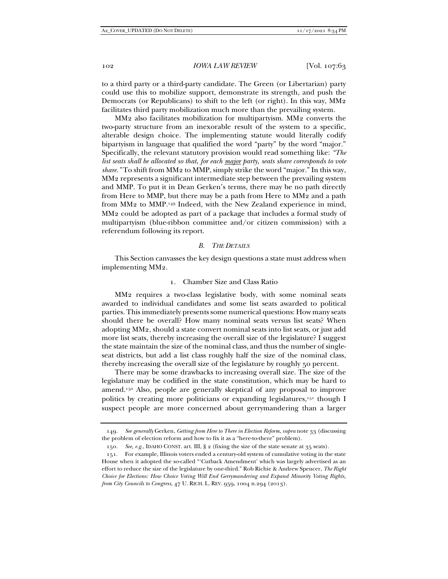to a third party or a third-party candidate. The Green (or Libertarian) party could use this to mobilize support, demonstrate its strength, and push the Democrats (or Republicans) to shift to the left (or right). In this way, MM2 facilitates third party mobilization much more than the prevailing system.

MM2 also facilitates mobilization for multipartyism. MM2 converts the two-party structure from an inexorable result of the system to a specific, alterable design choice. The implementing statute would literally codify bipartyism in language that qualified the word "party" by the word "major." Specifically, the relevant statutory provision would read something like: *"The list seats shall be allocated so that, for each major party, seats share corresponds to vote share."* To shift from MM2 to MMP, simply strike the word "major." In this way, MM2 represents a significant intermediate step between the prevailing system and MMP. To put it in Dean Gerken's terms, there may be no path directly from Here to MMP, but there may be a path from Here to MM2 and a path from MM2 to MMP.149 Indeed, with the New Zealand experience in mind, MM2 could be adopted as part of a package that includes a formal study of multipartyism (blue-ribbon committee and/or citizen commission) with a referendum following its report.

#### *B. THE DETAILS*

This Section canvasses the key design questions a state must address when implementing MM2.

#### 1. Chamber Size and Class Ratio

MM2 requires a two-class legislative body, with some nominal seats awarded to individual candidates and some list seats awarded to political parties. This immediately presents some numerical questions: How many seats should there be overall? How many nominal seats versus list seats? When adopting MM2, should a state convert nominal seats into list seats, or just add more list seats, thereby increasing the overall size of the legislature? I suggest the state maintain the size of the nominal class, and thus the number of singleseat districts, but add a list class roughly half the size of the nominal class, thereby increasing the overall size of the legislature by roughly 50 percent.

There may be some drawbacks to increasing overall size. The size of the legislature may be codified in the state constitution, which may be hard to amend.150 Also, people are generally skeptical of any proposal to improve politics by creating more politicians or expanding legislatures,<sup>151</sup> though I suspect people are more concerned about gerrymandering than a larger

<sup>149</sup>*. See generally* Gerken, *Getting from Here to There in Election Reform*, *supra* note 33 (discussing the problem of election reform and how to fix it as a "here-to-there" problem).

<sup>150</sup>*. See, e.g.*, IDAHO CONST. art. III, § 2 (fixing the size of the state senate at 35 seats).

 <sup>151.</sup> For example, Illinois voters ended a century-old system of cumulative voting in the state House when it adopted the so-called "'Cutback Amendment' which was largely advertised as an effort to reduce the size of the legislature by one-third." Rob Richie & Andrew Spencer, *The Right Choice for Elections: How Choice Voting Will End Gerrymandering and Expand Minority Voting Rights, from City Councils to Congress*, 47 U. RICH. L. REV. 959, 1004 n.294 (2013).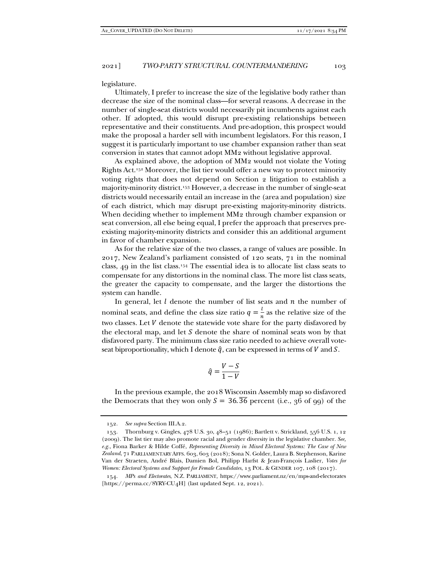legislature.

Ultimately, I prefer to increase the size of the legislative body rather than decrease the size of the nominal class—for several reasons. A decrease in the number of single-seat districts would necessarily pit incumbents against each other. If adopted, this would disrupt pre-existing relationships between representative and their constituents. And pre-adoption, this prospect would make the proposal a harder sell with incumbent legislators. For this reason, I suggest it is particularly important to use chamber expansion rather than seat conversion in states that cannot adopt MM2 without legislative approval.

As explained above, the adoption of MM2 would not violate the Voting Rights Act.152 Moreover, the list tier would offer a new way to protect minority voting rights that does not depend on Section 2 litigation to establish a majority-minority district.153 However, a decrease in the number of single-seat districts would necessarily entail an increase in the (area and population) size of each district, which may disrupt pre-existing majority-minority districts. When deciding whether to implement MM<sub>2</sub> through chamber expansion or seat conversion, all else being equal, I prefer the approach that preserves preexisting majority-minority districts and consider this an additional argument in favor of chamber expansion.

As for the relative size of the two classes, a range of values are possible. In 2017, New Zealand's parliament consisted of 120 seats, 71 in the nominal class, 49 in the list class.154 The essential idea is to allocate list class seats to compensate for any distortions in the nominal class. The more list class seats, the greater the capacity to compensate, and the larger the distortions the system can handle.

In general, let  $l$  denote the number of list seats and  $n$  the number of nominal seats, and define the class size ratio  $q = \frac{l}{r}$  $\frac{1}{n}$  as the relative size of the two classes. Let  $V$  denote the statewide vote share for the party disfavored by the electoral map, and let  $S$  denote the share of nominal seats won by that disfavored party. The minimum class size ratio needed to achieve overall voteseat biproportionality, which I denote  $\hat{q}$ , can be expressed in terms of V and S.

$$
\hat{q} = \frac{V - S}{1 - V}
$$

In the previous example, the 2018 Wisconsin Assembly map so disfavored the Democrats that they won only  $S = 36.\overline{36}$  percent (i.e., 36 of 99) of the

 <sup>152.</sup> *See supra* Section III.A.2.

 <sup>153.</sup> Thornburg v. Gingles, 478 U.S. 30, 48–51 (1986); Bartlett v. Strickland, 556 U.S. 1, 12 (2009). The list tier may also promote racial and gender diversity in the legislative chamber. *See, e.g.*, Fiona Barker & Hilde Coffé, *Representing Diversity in Mixed Electoral Systems: The Case of New Zealand*, 71 PARLIAMENTARY AFFS. 603, 603 (2018); Sona N. Golder, Laura B. Stephenson, Karine Van der Straeten, André Blais, Damien Bol, Philipp Harfst & Jean-François Laslier, *Votes for Women: Electoral Systems and Support for Female Candidates*, 13 POL. & GENDER 107, 108 (2017).

 <sup>154.</sup> *MPs and Electorates*, N.Z. PARLIAMENT, https://www.parliament.nz/en/mps-and-electorates [https://perma.cc/8YRY-CU4H] (last updated Sept. 12, 2021).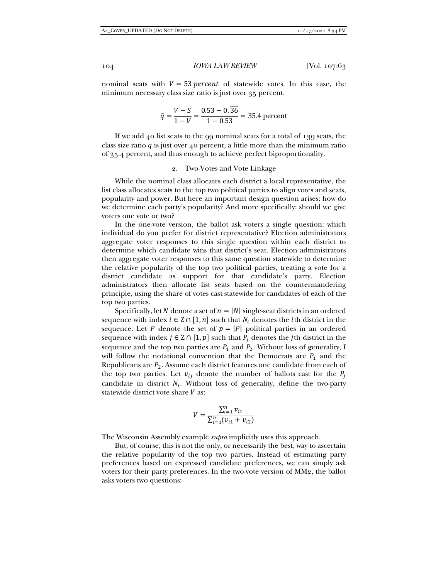nominal seats with  $V = 53$  *percent* of statewide votes. In this case, the minimum necessary class size ratio is just over 35 percent.

$$
\hat{q} = \frac{V - S}{1 - V} = \frac{0.53 - 0.36}{1 - 0.53} = 35.4 \text{ percent}
$$

If we add 40 list seats to the 99 nominal seats for a total of 139 seats, the class size ratio  $q$  is just over 40 percent, a little more than the minimum ratio of 35.4 percent, and thus enough to achieve perfect biproportionality.

#### 2. Two-Votes and Vote Linkage

While the nominal class allocates each district a local representative, the list class allocates seats to the top two political parties to align votes and seats, popularity and power. But here an important design question arises: how do we determine each party's popularity? And more specifically: should we give voters one vote or two?

In the one-vote version, the ballot ask voters a single question: which individual do you prefer for district representative? Election administrators aggregate voter responses to this single question within each district to determine which candidate wins that district's seat. Election administrators then aggregate voter responses to this same question statewide to determine the relative popularity of the top two political parties, treating a vote for a district candidate as support for that candidate's party. Election administrators then allocate list seats based on the countermandering principle, using the share of votes cast statewide for candidates of each of the top two parties.

Specifically, let N denote a set of  $n = |N|$  single-seat districts in an ordered sequence with index  $i \in \mathbb{Z} \cap [1, n]$  such that  $N_i$  denotes the *i*th district in the sequence. Let P denote the set of  $p = |P|$  political parties in an ordered sequence with index  $j \in \mathbb{Z} \cap [1, p]$  such that  $P_i$  denotes the jth district in the sequence and the top two parties are  $P_1$  and  $P_2$ . Without loss of generality, I will follow the notational convention that the Democrats are  $P_1$  and the Republicans are  $P_2$ . Assume each district features one candidate from each of the top two parties. Let  $v_{ij}$  denote the number of ballots cast for the  $P_i$ candidate in district  $N_i$ . Without loss of generality, define the two-party statewide district vote share  $V$  as:

$$
V = \frac{\sum_{i=1}^{n} v_{i1}}{\sum_{i=1}^{n} (v_{i1} + v_{i2})}
$$

The Wisconsin Assembly example *supra* implicitly uses this approach.

But, of course, this is not the only, or necessarily the best, way to ascertain the relative popularity of the top two parties. Instead of estimating party preferences based on expressed candidate preferences, we can simply ask voters for their party preferences. In the two-vote version of MM2, the ballot asks voters two questions: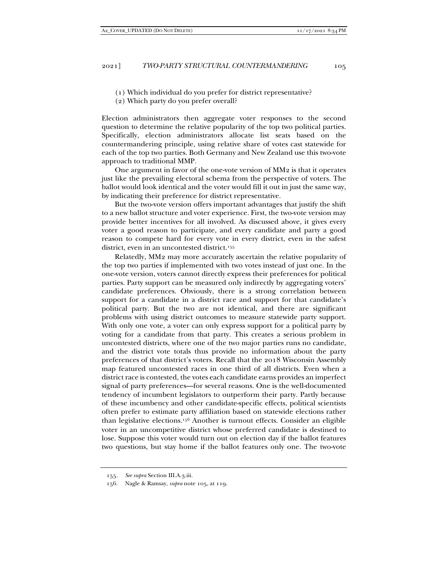- (1) Which individual do you prefer for district representative?
- (2) Which party do you prefer overall?

Election administrators then aggregate voter responses to the second question to determine the relative popularity of the top two political parties. Specifically, election administrators allocate list seats based on the countermandering principle, using relative share of votes cast statewide for each of the top two parties. Both Germany and New Zealand use this two-vote approach to traditional MMP.

One argument in favor of the one-vote version of MM2 is that it operates just like the prevailing electoral schema from the perspective of voters. The ballot would look identical and the voter would fill it out in just the same way, by indicating their preference for district representative.

But the two-vote version offers important advantages that justify the shift to a new ballot structure and voter experience. First, the two-vote version may provide better incentives for all involved. As discussed above, it gives every voter a good reason to participate, and every candidate and party a good reason to compete hard for every vote in every district, even in the safest district, even in an uncontested district.155

Relatedly, MM2 may more accurately ascertain the relative popularity of the top two parties if implemented with two votes instead of just one. In the one-vote version, voters cannot directly express their preferences for political parties. Party support can be measured only indirectly by aggregating voters' candidate preferences. Obviously, there is a strong correlation between support for a candidate in a district race and support for that candidate's political party. But the two are not identical, and there are significant problems with using district outcomes to measure statewide party support. With only one vote, a voter can only express support for a political party by voting for a candidate from that party. This creates a serious problem in uncontested districts, where one of the two major parties runs no candidate, and the district vote totals thus provide no information about the party preferences of that district's voters. Recall that the 2018 Wisconsin Assembly map featured uncontested races in one third of all districts. Even when a district race is contested, the votes each candidate earns provides an imperfect signal of party preferences—for several reasons. One is the well-documented tendency of incumbent legislators to outperform their party. Partly because of these incumbency and other candidate-specific effects, political scientists often prefer to estimate party affiliation based on statewide elections rather than legislative elections.156 Another is turnout effects. Consider an eligible voter in an uncompetitive district whose preferred candidate is destined to lose. Suppose this voter would turn out on election day if the ballot features two questions, but stay home if the ballot features only one. The two-vote

 <sup>155.</sup> *See supra* Section III.A.3.iii.

 <sup>156.</sup> Nagle & Ramsay, *supra* note 105, at 119.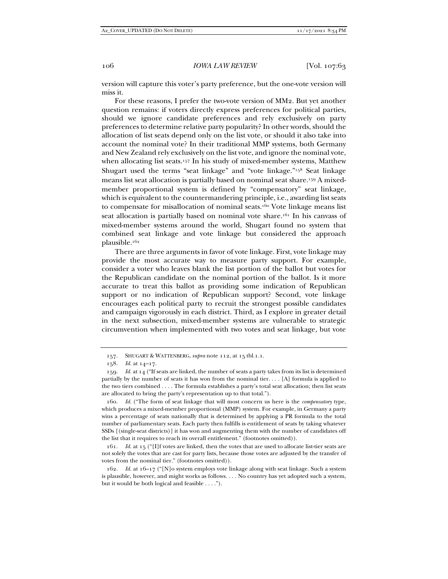version will capture this voter's party preference, but the one-vote version will miss it.

For these reasons, I prefer the two-vote version of MM2. But yet another question remains: if voters directly express preferences for political parties, should we ignore candidate preferences and rely exclusively on party preferences to determine relative party popularity? In other words, should the allocation of list seats depend only on the list vote, or should it also take into account the nominal vote? In their traditional MMP systems, both Germany and New Zealand rely exclusively on the list vote, and ignore the nominal vote, when allocating list seats.<sup>157</sup> In his study of mixed-member systems, Matthew Shugart used the terms "seat linkage" and "vote linkage."158 Seat linkage means list seat allocation is partially based on nominal seat share.159 A mixedmember proportional system is defined by "compensatory" seat linkage, which is equivalent to the countermandering principle, i.e., awarding list seats to compensate for misallocation of nominal seats.<sup>160</sup> Vote linkage means list seat allocation is partially based on nominal vote share.161 In his canvass of mixed-member systems around the world, Shugart found no system that combined seat linkage and vote linkage but considered the approach plausible.162

There are three arguments in favor of vote linkage. First, vote linkage may provide the most accurate way to measure party support. For example, consider a voter who leaves blank the list portion of the ballot but votes for the Republican candidate on the nominal portion of the ballot. Is it more accurate to treat this ballot as providing some indication of Republican support or no indication of Republican support? Second, vote linkage encourages each political party to recruit the strongest possible candidates and campaign vigorously in each district. Third, as I explore in greater detail in the next subsection, mixed-member systems are vulnerable to strategic circumvention when implemented with two votes and seat linkage, but vote

 <sup>157.</sup> SHUGART & WATTENBERG, *supra* note 112, at 15 tbl.1.1.

 <sup>158.</sup> *Id.* at 14–17.

 <sup>159.</sup> *Id.* at 14 ("If seats are linked, the number of seats a party takes from its list is determined partially by the number of seats it has won from the nominal tier. . . . [A] formula is applied to the two tiers combined . . . . The formula establishes a party's total seat allocation; then list seats are allocated to bring the party's representation up to that total.").

 <sup>160.</sup> *Id.* ("The form of seat linkage that will most concern us here is the *compensatory* type, which produces a mixed-member proportional (MMP) system. For example, in Germany a party wins a percentage of seats nationally that is determined by applying a PR formula to the total number of parliamentary seats. Each party then fulfills is entitlement of seats by taking whatever SSDs [(single-seat districts)] it has won and augmenting them with the number of candidates off the list that it requires to reach its overall entitlement." (footnotes omitted)).

 <sup>161.</sup> *Id.* at 15 ("[I]f votes are linked, then the votes that are used to allocate list-tier seats are not solely the votes that are cast for party lists, because those votes are adjusted by the transfer of votes from the nominal tier." (footnotes omitted)).

 <sup>162.</sup> *Id.* at 16–17 ("[N]o system employs vote linkage along with seat linkage. Such a system is plausible, however, and might works as follows. . . . No country has yet adopted such a system, but it would be both logical and feasible . . . .").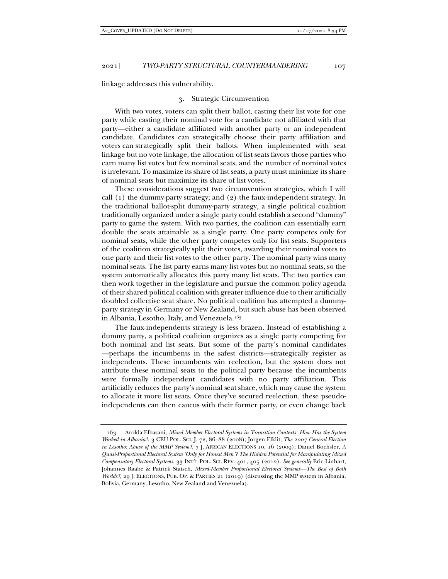linkage addresses this vulnerability.

#### 3. Strategic Circumvention

With two votes, voters can split their ballot, casting their list vote for one party while casting their nominal vote for a candidate not affiliated with that party—either a candidate affiliated with another party or an independent candidate. Candidates can strategically choose their party affiliation and voters can strategically split their ballots. When implemented with seat linkage but no vote linkage, the allocation of list seats favors those parties who earn many list votes but few nominal seats, and the number of nominal votes is irrelevant. To maximize its share of list seats, a party must minimize its share of nominal seats but maximize its share of list votes.

These considerations suggest two circumvention strategies, which I will call (1) the dummy-party strategy; and (2) the faux-independent strategy. In the traditional ballot-split dummy-party strategy, a single political coalition traditionally organized under a single party could establish a second "dummy" party to game the system. With two parties, the coalition can essentially earn double the seats attainable as a single party. One party competes only for nominal seats, while the other party competes only for list seats. Supporters of the coalition strategically split their votes, awarding their nominal votes to one party and their list votes to the other party. The nominal party wins many nominal seats. The list party earns many list votes but no nominal seats, so the system automatically allocates this party many list seats. The two parties can then work together in the legislature and pursue the common policy agenda of their shared political coalition with greater influence due to their artificially doubled collective seat share. No political coalition has attempted a dummyparty strategy in Germany or New Zealand, but such abuse has been observed in Albania, Lesotho, Italy, and Venezuela.163

The faux-independents strategy is less brazen. Instead of establishing a dummy party, a political coalition organizes as a single party competing for both nominal and list seats. But some of the party's nominal candidates —perhaps the incumbents in the safest districts—strategically register as independents. These incumbents win reelection, but the system does not attribute these nominal seats to the political party because the incumbents were formally independent candidates with no party affiliation. This artificially reduces the party's nominal seat share, which may cause the system to allocate it more list seats. Once they've secured reelection, these pseudoindependents can then caucus with their former party, or even change back

 <sup>163.</sup> Arolda Elbasani, *Mixed Member Electoral Systems in Transition Contexts: How Has the System Worked in Albania?*, 3 CEU POL. SCI. J. 72, 86–88 (2008); Jorgen Elklit, *The 2007 General Election in Lesotho: Abuse of the MMP System?*, 7 J. AFRICAN ELECTIONS 10, 16 (2009); Daniel Bochsler, *A Quasi-Proportional Electoral System 'Only for Honest Men'? The Hidden Potential for Manipulating Mixed Compensatory Electoral Systems*, 33 INT'L POL. SCI. REV. 401, 405 (2012). *See generally* Eric Linhart, Johannes Raabe & Patrick Statsch, *Mixed-Member Proportional Electoral Systems—The Best of Both Worlds?*, 29 J. ELECTIONS, PUB. OP. & PARTIES 21 (2019) (discussing the MMP system in Albania, Bolivia, Germany, Lesotho, New Zealand and Venezuela).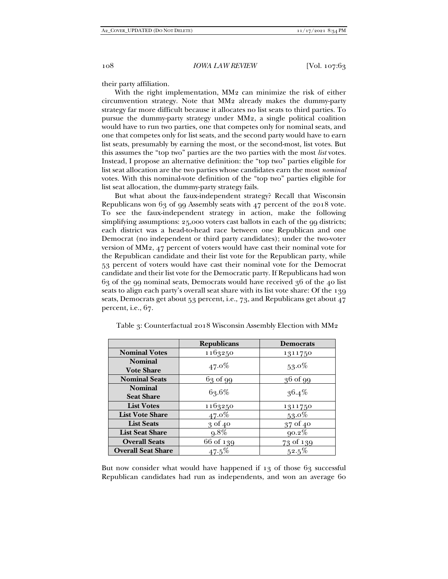their party affiliation.

With the right implementation, MM2 can minimize the risk of either circumvention strategy. Note that MM2 already makes the dummy-party strategy far more difficult because it allocates no list seats to third parties. To pursue the dummy-party strategy under MM2, a single political coalition would have to run two parties, one that competes only for nominal seats, and one that competes only for list seats, and the second party would have to earn list seats, presumably by earning the most, or the second-most, list votes. But this assumes the "top two" parties are the two parties with the most *list* votes. Instead, I propose an alternative definition: the "top two" parties eligible for list seat allocation are the two parties whose candidates earn the most *nominal* votes. With this nominal-vote definition of the "top two" parties eligible for list seat allocation, the dummy-party strategy fails.

But what about the faux-independent strategy? Recall that Wisconsin Republicans won 63 of 99 Assembly seats with 47 percent of the 2018 vote. To see the faux-independent strategy in action, make the following simplifying assumptions: 25,000 voters cast ballots in each of the 99 districts; each district was a head-to-head race between one Republican and one Democrat (no independent or third party candidates); under the two-voter version of MM2, 47 percent of voters would have cast their nominal vote for the Republican candidate and their list vote for the Republican party, while 53 percent of voters would have cast their nominal vote for the Democrat candidate and their list vote for the Democratic party. If Republicans had won 63 of the 99 nominal seats, Democrats would have received 36 of the 40 list seats to align each party's overall seat share with its list vote share: Of the 139 seats, Democrats get about 53 percent, i.e., 73, and Republicans get about 47 percent, i.e., 67.

|                           | <b>Republicans</b> | <b>Democrats</b> |  |
|---------------------------|--------------------|------------------|--|
| <b>Nominal Votes</b>      | 1163250            | 1311750          |  |
| <b>Nominal</b>            |                    | $53.0\%$         |  |
| <b>Vote Share</b>         | $47.0\%$           |                  |  |
| <b>Nominal Seats</b>      | $63$ of 99         | 36 of 99         |  |
| <b>Nominal</b>            | 63.6%              |                  |  |
| <b>Seat Share</b>         |                    | $36.4\%$         |  |
| <b>List Votes</b>         | 1163250            | 1311750          |  |
| <b>List Vote Share</b>    | $47.0\%$           | $53.0\%$         |  |
| <b>List Seats</b>         | $3$ of $40$        | 37 of 40         |  |
| <b>List Seat Share</b>    | $9.8\%$            | $90.2\%$         |  |
| <b>Overall Seats</b>      | 66 of 139          | 73 of 139        |  |
| <b>Overall Seat Share</b> | $47.5\%$           | $52.5\%$         |  |

Table 3: Counterfactual 2018 Wisconsin Assembly Election with MM2

But now consider what would have happened if 13 of those 63 successful Republican candidates had run as independents, and won an average 60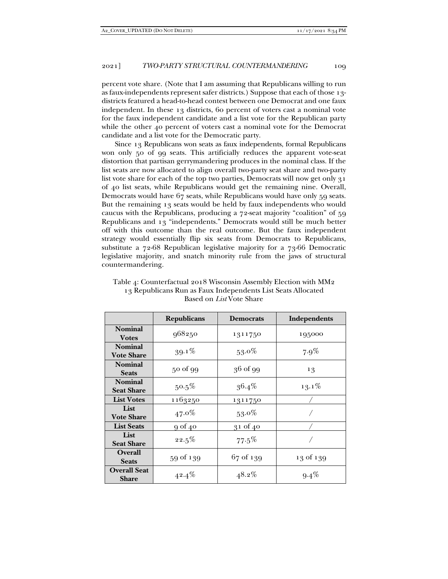percent vote share. (Note that I am assuming that Republicans willing to run as faux-independents represent safer districts.) Suppose that each of those 13 districts featured a head-to-head contest between one Democrat and one faux independent. In these 13 districts, 60 percent of voters cast a nominal vote for the faux independent candidate and a list vote for the Republican party while the other 40 percent of voters cast a nominal vote for the Democrat candidate and a list vote for the Democratic party.

Since 13 Republicans won seats as faux independents, formal Republicans won only 50 of 99 seats. This artificially reduces the apparent vote-seat distortion that partisan gerrymandering produces in the nominal class. If the list seats are now allocated to align overall two-party seat share and two-party list vote share for each of the top two parties, Democrats will now get only 31 of 40 list seats, while Republicans would get the remaining nine. Overall, Democrats would have 67 seats, while Republicans would have only 59 seats. But the remaining 13 seats would be held by faux independents who would caucus with the Republicans, producing a 72-seat majority "coalition" of 59 Republicans and 13 "independents." Democrats would still be much better off with this outcome than the real outcome. But the faux independent strategy would essentially flip six seats from Democrats to Republicans, substitute a 72-68 Republican legislative majority for a 73-66 Democratic legislative majority, and snatch minority rule from the jaws of structural countermandering.

|                                     | <b>Republicans</b> | <b>Democrats</b> | Independents |
|-------------------------------------|--------------------|------------------|--------------|
| <b>Nominal</b><br><b>Votes</b>      | 968250             | 1311750          | 195000       |
| <b>Nominal</b><br><b>Vote Share</b> | $39.1\%$           | $53.0\%$         | $7.9\%$      |
| <b>Nominal</b><br><b>Seats</b>      | 50 of 99           | 36 of 99         | 13           |
| <b>Nominal</b><br><b>Seat Share</b> | $50.5\%$           | $36.4\%$         | $13.1\%$     |
| <b>List Votes</b>                   | 1163250            | 1311750          |              |
| List<br><b>Vote Share</b>           | $47.0\%$           | $53.0\%$         |              |
| <b>List Seats</b>                   | 9 of 40            | $31$ of $40$     |              |
| List<br><b>Seat Share</b>           | 22.5%              | 77.5%            |              |
| <b>Overall</b><br><b>Seats</b>      | 59 of 139          | 67 of 139        | 13 of 139    |
| <b>Overall Seat</b><br><b>Share</b> | $42.4\%$           | $48.2\%$         | $9.4\%$      |

Table 4: Counterfactual 2018 Wisconsin Assembly Election with MM2 13 Republicans Run as Faux Independents List Seats Allocated Based on *List* Vote Share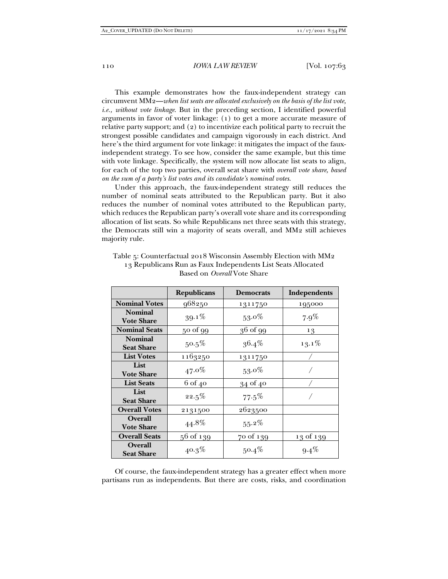This example demonstrates how the faux-independent strategy can circumvent MM2—*when list seats are allocated exclusively on the basis of the list vote, i.e., without vote linkage*. But in the preceding section, I identified powerful arguments in favor of voter linkage: (1) to get a more accurate measure of relative party support; and (2) to incentivize each political party to recruit the strongest possible candidates and campaign vigorously in each district. And here's the third argument for vote linkage: it mitigates the impact of the fauxindependent strategy. To see how, consider the same example, but this time with vote linkage. Specifically, the system will now allocate list seats to align, for each of the top two parties, overall seat share with *overall vote share, based on the sum of a party's list votes and its candidate's nominal votes*.

Under this approach, the faux-independent strategy still reduces the number of nominal seats attributed to the Republican party. But it also reduces the number of nominal votes attributed to the Republican party, which reduces the Republican party's overall vote share and its corresponding allocation of list seats. So while Republicans net three seats with this strategy, the Democrats still win a majority of seats overall, and MM2 still achieves majority rule.

|                                     | <b>Republicans</b> | <b>Democrats</b> | Independents |
|-------------------------------------|--------------------|------------------|--------------|
| <b>Nominal Votes</b>                | 968250             | 1311750          | 195000       |
| <b>Nominal</b><br><b>Vote Share</b> | $39.1\%$           | $53.0\%$         | $7.9\%$      |
| <b>Nominal Seats</b>                | 50 of 99           | 36 of 99         | 13           |
| <b>Nominal</b><br><b>Seat Share</b> | $50.5\%$           | $36.4\%$         | $13.1\%$     |
| <b>List Votes</b>                   | 1163250            | 1311750          |              |
| List<br><b>Vote Share</b>           | $47.0\%$           | $53.0\%$         |              |
| <b>List Seats</b>                   | $6$ of $40$        | 34 of 40         |              |
| List<br><b>Seat Share</b>           | 22.5%              | 77.5%            |              |
| <b>Overall Votes</b>                | 2131500            | 2623500          |              |
| <b>Overall</b><br><b>Vote Share</b> | 44.8%              | $55.2\%$         |              |
| <b>Overall Seats</b>                | 56 of 139          | 70 of 139        | 13 of 139    |
| <b>Overall</b><br><b>Seat Share</b> | $40.3\%$           | $50.4\%$         | $9.4\%$      |

Table 5: Counterfactual 2018 Wisconsin Assembly Election with MM2 13 Republicans Run as Faux Independents List Seats Allocated Based on *Overall* Vote Share

Of course, the faux-independent strategy has a greater effect when more partisans run as independents. But there are costs, risks, and coordination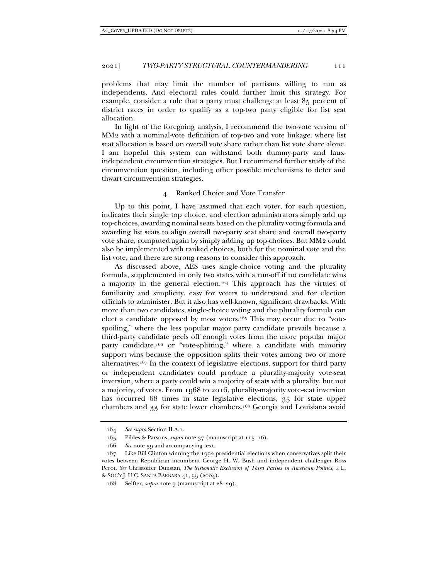problems that may limit the number of partisans willing to run as independents. And electoral rules could further limit this strategy. For example, consider a rule that a party must challenge at least 85 percent of district races in order to qualify as a top-two party eligible for list seat allocation.

In light of the foregoing analysis, I recommend the two-vote version of MM2 with a nominal-vote definition of top-two and vote linkage, where list seat allocation is based on overall vote share rather than list vote share alone. I am hopeful this system can withstand both dummy-party and fauxindependent circumvention strategies. But I recommend further study of the circumvention question, including other possible mechanisms to deter and thwart circumvention strategies.

#### 4. Ranked Choice and Vote Transfer

Up to this point, I have assumed that each voter, for each question, indicates their single top choice, and election administrators simply add up top-choices, awarding nominal seats based on the plurality voting formula and awarding list seats to align overall two-party seat share and overall two-party vote share, computed again by simply adding up top-choices. But MM2 could also be implemented with ranked choices, both for the nominal vote and the list vote, and there are strong reasons to consider this approach.

As discussed above, AES uses single-choice voting and the plurality formula, supplemented in only two states with a run-off if no candidate wins a majority in the general election.164 This approach has the virtues of familiarity and simplicity, easy for voters to understand and for election officials to administer. But it also has well-known, significant drawbacks. With more than two candidates, single-choice voting and the plurality formula can elect a candidate opposed by most voters.165 This may occur due to "votespoiling," where the less popular major party candidate prevails because a third-party candidate peels off enough votes from the more popular major party candidate,166 or "vote-splitting," where a candidate with minority support wins because the opposition splits their votes among two or more alternatives.167 In the context of legislative elections, support for third party or independent candidates could produce a plurality-majority vote-seat inversion, where a party could win a majority of seats with a plurality, but not a majority, of votes. From 1968 to 2016, plurality-majority vote-seat inversion has occurred 68 times in state legislative elections, 35 for state upper chambers and 33 for state lower chambers.168 Georgia and Louisiana avoid

 <sup>164.</sup> *See supra* Section II.A.1.

 <sup>165.</sup> Pildes & Parsons, *supra* note 37 (manuscript at 115–16).

 <sup>166.</sup> *See* note 59 and accompanying text.

 <sup>167.</sup> Like Bill Clinton winning the 1992 presidential elections when conservatives split their votes between Republican incumbent George H. W. Bush and independent challenger Ross Perot. *See* Christoffer Dunstan, *The Systematic Exclusion of Third Parties in American Politics*, 4 L. & SOC'Y J. U.C. SANTA BARBARA 41, 55 (2004).

<sup>168.</sup> Seifter, *supra* note 9 (manuscript at 28–29).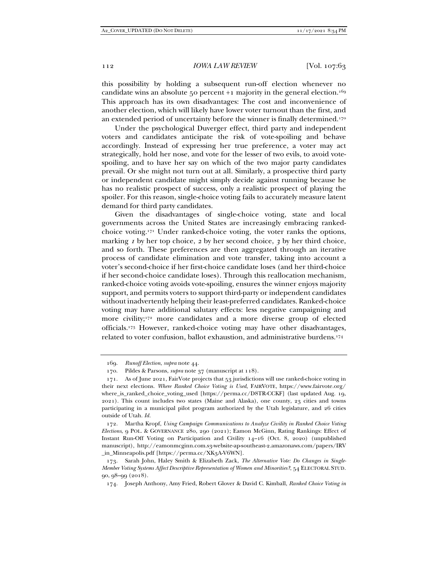this possibility by holding a subsequent run-off election whenever no candidate wins an absolute 50 percent +1 majority in the general election.<sup>169</sup> This approach has its own disadvantages: The cost and inconvenience of another election, which will likely have lower voter turnout than the first, and an extended period of uncertainty before the winner is finally determined.170

Under the psychological Duverger effect, third party and independent voters and candidates anticipate the risk of vote-spoiling and behave accordingly. Instead of expressing her true preference, a voter may act strategically, hold her nose, and vote for the lesser of two evils, to avoid votespoiling, and to have her say on which of the two major party candidates prevail. Or she might not turn out at all. Similarly, a prospective third party or independent candidate might simply decide against running because he has no realistic prospect of success, only a realistic prospect of playing the spoiler. For this reason, single-choice voting fails to accurately measure latent demand for third party candidates.

Given the disadvantages of single-choice voting, state and local governments across the United States are increasingly embracing rankedchoice voting.171 Under ranked-choice voting, the voter ranks the options, marking *1* by her top choice, *2* by her second choice, *3* by her third choice, and so forth. These preferences are then aggregated through an iterative process of candidate elimination and vote transfer, taking into account a voter's second-choice if her first-choice candidate loses (and her third-choice if her second-choice candidate loses). Through this reallocation mechanism, ranked-choice voting avoids vote-spoiling, ensures the winner enjoys majority support, and permits voters to support third-party or independent candidates without inadvertently helping their least-preferred candidates. Ranked-choice voting may have additional salutary effects: less negative campaigning and more civility;<sup>172</sup> more candidates and a more diverse group of elected officials.173 However, ranked-choice voting may have other disadvantages, related to voter confusion, ballot exhaustion, and administrative burdens.174

 <sup>169.</sup> *Runoff Election*, *supra* note 44.

 <sup>170.</sup> Pildes & Parsons, *supra* note 37 (manuscript at 118).

 <sup>171.</sup> As of June 2021, FairVote projects that 53 jurisdictions will use ranked-choice voting in their next elections. *Where Ranked Choice Voting is Used*, FAIRVOTE, https://www.fairvote.org/ where\_is\_ranked\_choice\_voting\_used [https://perma.cc/D8TR-CCKF] (last updated Aug. 19, 2021). This count includes two states (Maine and Alaska), one county, 23 cities and towns participating in a municipal pilot program authorized by the Utah legislature, and 26 cities outside of Utah. *Id.* 

 <sup>172.</sup> Martha Kropf, *Using Campaign Communications to Analyze Civility in Ranked Choice Voting Elections*, 9 POL. & GOVERNANCE 280, 290 (2021); Eamon McGinn, Rating Rankings: Effect of Instant Run-Off Voting on Participation and Civility 14–16 (Oct. 8, 2020) (unpublished manuscript), http://eamonmcginn.com.s3-website-ap-southeast-2.amazonaws.com/papers/IRV \_in\_Minneapolis.pdf [https://perma.cc/XK3A-V6WN].

 <sup>173.</sup> Sarah John, Haley Smith & Elizabeth Zack, *The Alternative Vote: Do Changes in Single‐ Member Voting Systems Affect Descriptive Representation of Women and Minorities?*, 54 ELECTORAL STUD. 90, 98–99 (2018).

 <sup>174.</sup> Joseph Anthony, Amy Fried, Robert Glover & David C. Kimball, *Ranked Choice Voting in*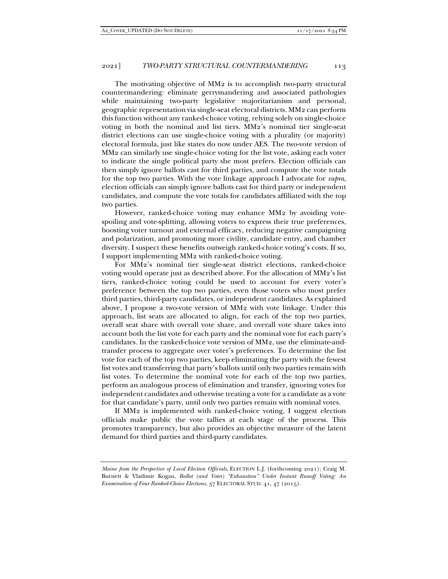The motivating objective of MM2 is to accomplish two-party structural countermandering: eliminate gerrymandering and associated pathologies while maintaining two-party legislative majoritarianism and personal, geographic representation via single-seat electoral districts. MM2 can perform this function without any ranked-choice voting, relying solely on single-choice voting in both the nominal and list tiers. MM2's nominal tier single-seat district elections can use single-choice voting with a plurality (or majority) electoral formula, just like states do now under AES. The two-vote version of MM2 can similarly use single-choice voting for the list vote, asking each voter to indicate the single political party she most prefers. Election officials can then simply ignore ballots cast for third parties, and compute the vote totals for the top two parties. With the vote linkage approach I advocate for *supra*, election officials can simply ignore ballots cast for third party or independent candidates, and compute the vote totals for candidates affiliated with the top two parties.

However, ranked-choice voting may enhance MM2 by avoiding votespoiling and vote-splitting, allowing voters to express their true preferences, boosting voter turnout and external efficacy, reducing negative campaigning and polarization, and promoting more civility, candidate entry, and chamber diversity. I suspect these benefits outweigh ranked-choice voting's costs. If so, I support implementing MM2 with ranked-choice voting.

For MM2's nominal tier single-seat district elections, ranked-choice voting would operate just as described above. For the allocation of MM2's list tiers, ranked-choice voting could be used to account for every voter's preference between the top two parties, even those voters who most prefer third parties, third-party candidates, or independent candidates. As explained above, I propose a two-vote version of MM2 with vote linkage. Under this approach, list seats are allocated to align, for each of the top two parties, overall seat share with overall vote share, and overall vote share takes into account both the list vote for each party and the nominal vote for each party's candidates. In the ranked-choice vote version of MM2, use the eliminate-andtransfer process to aggregate over voter's preferences. To determine the list vote for each of the top two parties, keep eliminating the party with the fewest list votes and transferring that party's ballots until only two parties remain with list votes. To determine the nominal vote for each of the top two parties, perform an analogous process of elimination and transfer, ignoring votes for independent candidates and otherwise treating a vote for a candidate as a vote for that candidate's party, until only two parties remain with nominal votes.

If MM2 is implemented with ranked-choice voting, I suggest election officials make public the vote tallies at each stage of the process. This promotes transparency, but also provides an objective measure of the latent demand for third parties and third-party candidates.

*Maine from the Perspective of Local Election Officials*, ELECTION L.J. (forthcoming 2021); Craig M. Burnett & Vladimir Kogan, *Ballot (and Voter) "Exhaustion" Under Instant Runoff Voting: An Examination of Four Ranked-Choice Elections*, 37 ELECTORAL STUD. 41, 47 (2015).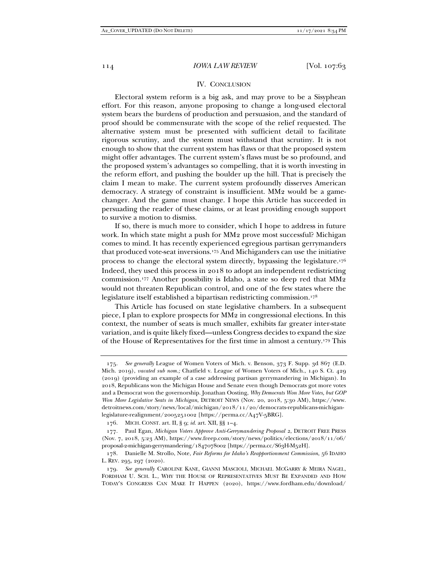#### IV. CONCLUSION

Electoral system reform is a big ask, and may prove to be a Sisyphean effort. For this reason, anyone proposing to change a long-used electoral system bears the burdens of production and persuasion, and the standard of proof should be commensurate with the scope of the relief requested. The alternative system must be presented with sufficient detail to facilitate rigorous scrutiny, and the system must withstand that scrutiny. It is not enough to show that the current system has flaws or that the proposed system might offer advantages. The current system's flaws must be so profound, and the proposed system's advantages so compelling, that it is worth investing in the reform effort, and pushing the boulder up the hill. That is precisely the claim I mean to make. The current system profoundly disserves American democracy. A strategy of constraint is insufficient. MM2 would be a gamechanger. And the game must change. I hope this Article has succeeded in persuading the reader of these claims, or at least providing enough support to survive a motion to dismiss.

If so, there is much more to consider, which I hope to address in future work. In which state might a push for MM2 prove most successful? Michigan comes to mind. It has recently experienced egregious partisan gerrymanders that produced vote-seat inversions.175 And Michiganders can use the initiative process to change the electoral system directly, bypassing the legislature.176 Indeed, they used this process in 2018 to adopt an independent redistricting commission.177 Another possibility is Idaho, a state so deep red that MM2 would not threaten Republican control, and one of the few states where the legislature itself established a bipartisan redistricting commission.178

This Article has focused on state legislative chambers. In a subsequent piece, I plan to explore prospects for MM2 in congressional elections. In this context, the number of seats is much smaller, exhibits far greater inter-state variation, and is quite likely fixed—unless Congress decides to expand the size of the House of Representatives for the first time in almost a century.179 This

 <sup>175.</sup> *See generally* League of Women Voters of Mich. v. Benson, 373 F. Supp. 3d 867 (E.D. Mich. 2019), *vacated sub nom.;* Chatfield v. League of Women Voters of Mich., 140 S. Ct. 429 (2019) (providing an example of a case addressing partisan gerrymandering in Michigan). In 2018, Republicans won the Michigan House and Senate even though Democrats got more votes and a Democrat won the governorship. Jonathan Oosting, *Why Democrats Won More Votes, but GOP Won More Legislative Seats in Michigan*, DETROIT NEWS (Nov. 20, 2018, 5:30 AM), https://www. detroitnews.com/story/news/local/michigan/2018/11/20/democrats-republicans-michiganlegislature-realignment/2005251002 [https://perma.cc/A47V-5BRG].

 <sup>176.</sup> MICH. CONST. art. II, § 9; *id.* art. XII, §§ 1–4.

 <sup>177.</sup> Paul Egan, *Michigan Voters Approve Anti-Gerrymandering Proposal 2*, DETROIT FREE PRESS (Nov. 7, 2018, 5:23 AM), https://www.freep.com/story/news/politics/elections/2018/11/06/ proposal-2-michigan-gerrymandering/1847078002 [https://perma.cc/S63H-M52H].

 <sup>178.</sup> Danielle M. Strollo, Note, *Fair Reforms for Idaho's Reapportionment Commission*, 56 IDAHO L. REV. 295, 297 (2020).

 <sup>179.</sup> *See generally* CAROLINE KANE, GIANNI MASCIOLI, MICHAEL MCGARRY & MEIRA NAGEL, FORDHAM U. SCH. L., WHY THE HOUSE OF REPRESENTATIVES MUST BE EXPANDED AND HOW TODAY'S CONGRESS CAN MAKE IT HAPPEN (2020), https://www.fordham.edu/download/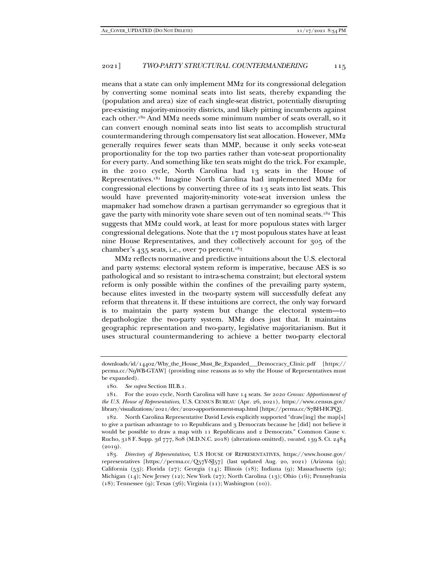means that a state can only implement MM2 for its congressional delegation by converting some nominal seats into list seats, thereby expanding the (population and area) size of each single-seat district, potentially disrupting pre-existing majority-minority districts, and likely pitting incumbents against each other.180 And MM2 needs some minimum number of seats overall, so it can convert enough nominal seats into list seats to accomplish structural countermandering through compensatory list seat allocation. However, MM2 generally requires fewer seats than MMP, because it only seeks vote-seat proportionality for the top two parties rather than vote-seat proportionality for every party. And something like ten seats might do the trick. For example, in the 2010 cycle, North Carolina had 13 seats in the House of Representatives.181 Imagine North Carolina had implemented MM2 for congressional elections by converting three of its 13 seats into list seats. This would have prevented majority-minority vote-seat inversion unless the mapmaker had somehow drawn a partisan gerrymander so egregious that it gave the party with minority vote share seven out of ten nominal seats.<sup>182</sup> This suggests that MM2 could work, at least for more populous states with larger congressional delegations. Note that the 17 most populous states have at least nine House Representatives, and they collectively account for 305 of the chamber's  $435$  seats, i.e., over 70 percent.<sup>183</sup>

MM2 reflects normative and predictive intuitions about the U.S. electoral and party systems: electoral system reform is imperative, because AES is so pathological and so resistant to intra-schema constraint; but electoral system reform is only possible within the confines of the prevailing party system, because elites invested in the two-party system will successfully defeat any reform that threatens it. If these intuitions are correct, the only way forward is to maintain the party system but change the electoral system—to depathologize the two-party system. MM2 does just that. It maintains geographic representation and two-party, legislative majoritarianism. But it uses structural countermandering to achieve a better two-party electoral

downloads/id/14402/Why\_the\_House\_Must\_Be\_Expanded\_\_\_Democracy\_Clinic.pdf [https:// perma.cc/N9WB-GTAW] (providing nine reasons as to why the House of Representatives must be expanded).

 <sup>180.</sup> *See supra* Section III.B.1.

 <sup>181.</sup> For the 2020 cycle, North Carolina will have 14 seats. *See 2020 Census: Apportionment of the U.S. House of Representatives*, U.S. CENSUS BUREAU (Apr. 26, 2021), https://www.census.gov/ library/visualizations/2021/dec/2020-apportionment-map.html [https://perma.cc/S7BH-HCPQ].

 <sup>182.</sup> North Carolina Representative David Lewis explicitly supported "draw[ing] the map[s] to give a partisan advantage to 10 Republicans and 3 Democrats because he [did] not believe it would be possible to draw a map with 11 Republicans and 2 Democrats." Common Cause v. Rucho, 318 F. Supp. 3d 777, 808 (M.D.N.C. 2018) (alterations omitted), *vacated*, 139 S. Ct. 2484  $(2019).$ 

 <sup>183.</sup> *Directory of Representatives*, U.S HOUSE OF REPRESENTATIVES, https://www.house.gov/ representatives [https://perma.cc/Q57Y-S[57] (last updated Aug. 20, 2021) (Arizona (9); California (53); Florida (27); Georgia (14); Illinois (18); Indiana (9); Massachusetts (9); Michigan (14); New Jersey (12); New York (27); North Carolina (13); Ohio (16); Pennsylvania (18); Tennessee (9); Texas (36); Virginia (11); Washington (10)).